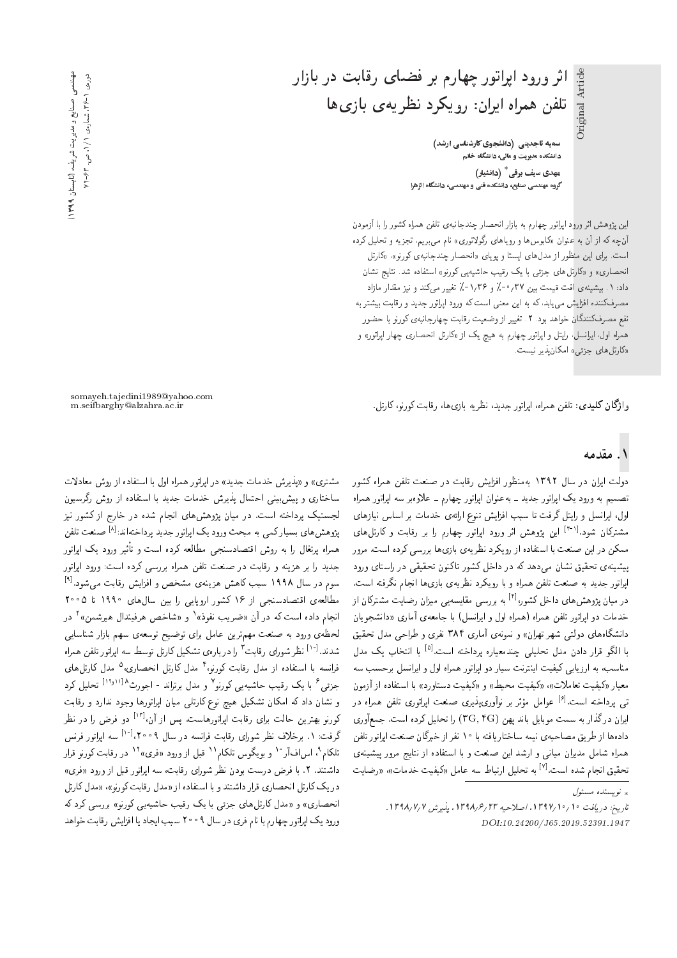**سمیه تاجدینی (دانشجوی کارشناسی ارشد)** دانشکده مدیریت و مالی، دانشگاه خاتم <sub>.</sub><br>مهدی سیف ب<mark>رقی<sup>\*</sup> (دانشیار</mark>) گروه مهندسی صنایع، دانشکده فنی و مهندسی، دانشگاه الزهرا

اثر ورود اپراتور چهارم بر فضای رقابت در بازار

.<br>تلفن همراه ایران: رویکرد نظریه ی بازی ها

این پژوهش اثر ورود ایراتور چهارم به بازار انحصار چندجانبهی تلفن همراه کشور را با آزمودن آنچه که از آن به عنوان «کابوس ها و رویاهای رگولاتوری» نام می,بریم، تجزیه و تحلیل کرده است. برای این منظور از مدل های ایستا و پویای «انحصار چندجانبهی کورنو»، «کارتل انحصاری» و «کارتل های جزئی با یک رقیب حاشیه یی کورنو» استفاده شد. نتایج نشان داد: ۱. بیشینهی افت قیمت بین ۳۷ / ۰-٪ و ۱٫۳۶-٪ تغییر میکند و نیز مقدار مازاد مصرفکننده افزایش میLبد. که به این معنی است که ورود اپراتور جدید و رقابت بیشتر به نفع مصرفکنندگان خواهد بود. ۲. تغییر از وضعیت رقابت چهارجانبهی کورنو با حضور همراه اول، ایرانسل، رایتل و اپراتور چهارم به هیچ یک از «کارتل انحصاری چهار اپراتور» و «کارتل های جزئی» امکان یذیر نیست.

وا**ژگان کلیدی**: تلفن همراه، ایراتور جدید، نظریه بازیها، رقابت کورنو،کارتل.

somayeh.tajedini1989@yahoo.com

#### ۱. مقدمه

دولت ایران در سال ۱۳۹۲ بهمنظور افزایش رقابت در صنعت تلفن همراه کشور تصمیم به ورود یک اپراتور جدید ــ به عنوان اپراتور چهارم ــ علاوهبر سه اپراتور همراه اول، ایرانسل و رایتل گرفت تا سبب افزایش تنوع ارائهی خدمات بر اساس نیازهای مشترکان شود.<sup>[۳-۱]</sup> این پژوهش اثر ورود اپراتور چهارم را بر رقابت و کارتل های<br>سر ممکن در این صنعت با استفاده از رویکرد نظریهی بازیها بررسی کرده است. مرور ییشینهی تحقیق نشان مهردهد که در داخل کشور تاکنون تحقیقی در راستای ورود ايراتور جديد به صنعت تلفن همراه و با رويكرد نظريه ي بازيها انجام نگرفته است. در میان پژوهش های داخل کشور <sup>[۲]</sup> به بررسی مقایسه یی میزان رضایت مشترکان از<br>مقامات خدمات دو ایراتور تلفن همراه (همراه اول و ایرانسل) با جامعه¢ آماری «دانشجویان دانشگاههای دولتی شهر تهران» و نمونهی آماری ۳۸۴ نفری و طراحی مدل تحقیق با الگو قرار دادن مدل تحلیل<sub>ی</sub> چندمعیاره پرداخته است.<sup>[۵]</sup> با انتخاب یک مدل<br>مال مناسب، به ارزیابی کیفیت اینترنت سیار دو اپراتور همراه اول و ایرانسل برحسب سه معيار «كيفيت تعاملات»، «كيفيت محيط» و «كيفيت دستاورد» با استفاده از أزمون تمی پرداخته است.<sup>[۶]</sup> عوامل مؤثر بر نوآوری،پذیری صنعت اپراتوری تلفن همراه در<br>اما ستگفتار - |یوان درگذار به سمت موبایل باند پهن (CR, ۴G) را تحلیل کرده است. جمعآوری<br>|| سالمات مسلمات دادهها از طریق مصاحبهی نیمه ساختاریافته با ۱۰ نفر از خبرگان صنعت اپراتور تلفن همراه شامل مديران ميانى و ارشد اين صنعت و با استفاده از نتايج مرور پيشينهي C}=[Q 'C=tON C}i}m pt=axU \=@DQ= p}rLD x@ [7] "CU= xOW s=Hv=j}kLD

مشترى» و «يذيرش خدمات جديد» در ايراتور همراه اول با استفاده از روش معادلات ساختاری و پیش بینی احتمال پذیرش خدمات جدید با استفاده از روش رگرسیون لجستیک پرداخته است. در میان پژوهش های انجام شده در خارج از کشور نیز پژوهش های بسیارکمی به مبحث ورود یک اپراتور جدید پرداختهاند:<sup>[۸]</sup> صنعت تلفن<br>الفاظ الفاظ الفاظ الفاظ الفاظ الفاظ الفاظ الفاظ الفاظ الفاظ همراه پرتغال را به روش اقتصادسنجی مطالعه کرده است و تاثیر ورود یک اپراتور<br>مارا جديد را بر هزينه و رقابت در صنعت تلفن همراه بررسي كرده است: ورود ايراتور سوم در سال ۱۹۹۸ سبب کاهش هزینهی مشخص و افزایش رقابت میشود.<sup>[۹]</sup><br>مالفات اقتصادی از ۱۶۰۵ میلید که بارستان این این استفاده در مورد بارد مطالعهى اقتصادسنجى از ۱۶ كشور اروپايى را بين سالαاى ۱۹۹۰ تا ۲۰۰۵ انجام داده است که در آن «ضریب نفوذ»٬ و «شاخص هرفیندال هیرشمن»٬ در<br>مسمد لحظهى ورود به صنعت مهمترين عامل براى توضيح توسعهى سهم بازار شناسايي شدند.<sup>[۱۰]</sup> نظر شورای رقابت <sup>۲</sup> را دربارهی تشکیل کارتل توسط سه اپراتور تلفن همراه<br>تانسیسا استفاد استفاده و تاریخ مید ۴ میلیما از میانسید و میده کارتا فرانسه با استفاده از مدل رقابت کورنو، ۱ مدل کارتل انحصاری، ۵ مدل کارتل های<br>عمل عملی میستور با با میکند و با در سواحد با بارداردا از سال کر جزئی<sup>ع</sup> با یک رقیب حاشیه<sub>ای</sub> کورنو<sup>۷</sup> و مدل برتراند - اجورث<sup>۸ ۱۰</sup>٬۱<sup>۰۱ ت</sup>اتحلیل کرد<br>مدد استاد کورا کارستوکرا و نشان داد که امکان تشکیل هیچ نوع کارتلی میان اپراتورها وجود ندارد و رقابت کورنو بهترین حالت برای رقابت اپراتورهاست. پس از آن<sup>171</sup> دو فرض را در نظر<br>گرفت میدان منافست برای سال سول منافست از ۱۸۰۵ میلادا گرفت: ۱. برخلاف نظر شورای رقابت فرانسه در سال ۲۰۰۹،<sup>[۱۰]</sup> سه اپراتور فرنس<br>پاکر ۱۰ بر براتشهای محسن استفاده (در برابرایستاد ۱۲۰۰۰ تلکام`، اس|فار ْ`` و بویگوس تلکام`` قبل از ورود «فری»`` در رقابت کورنو قرار<br>باز بین ۷۰۰۰ میلیدند داشتند. ۲. با فرض درست بودن نظر شورای رقابت، سه ایراتور قبل از ورود «فری» در یک کارتل انحصاری قرار داشتند و با استفاده از «مدل رقابت کورنو»، «مدل کارتل انحصاري» و «مدل كارتلهاي جزئي با يک رقيب حاشيه يې کورنو» بررسي کرد که ورود یک ایراتور چهارم با نام فری در سال ۹ ° ° ۲ سبب ایجاد یا افزایش رقابت خواهد

 $\int_{\mathbb{R}}$ نو پسنده مسئول  $\downarrow$ 

تاريخ: دريافت ١٦٩٧/١٩٩٧، اصلاحيه ٢٣ /١٣٩٨، يذيرش ١٣٩٨/٧/١٣٩٨. DOI:10.24200/J65.2019.52391.1947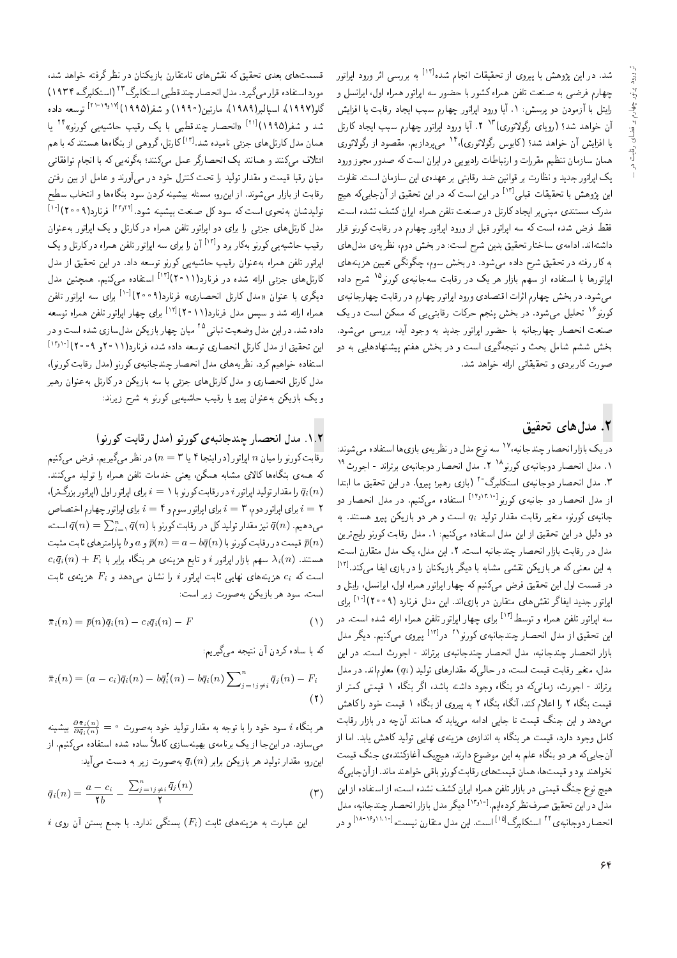شد. در این پژوهش با پیروی از تحقیقات انجام شده<sup>[۲]</sup> به بررسی اثر ورود اپراتور<br>این مقدار این ایران چهارم فرضی به صنعت تلفن همراه کشور با حضور سه اپراتور همراه اول، ایرانسل و رايتل با آزمودن دو پرسش: ١. آيا ورود اپراتور چهارم سبب ايجاد رقابت يا افزايش آن خواهد شد؟ (رویای رگولاتوری)<sup>۱۳</sup> ۲. آیا ورود اپراتور چهارم سبب ایجاد کارتل |QwDqwoQ R= OwYkt "s}R=OQB|t <sup>14</sup>'|QwDqwoQ Tw@=m #OW Oy=wN u; V}=Ri= =} همان سازمان تنظيم مقررات و ارتباطات راديويي در ايران است كه صدور مجوز ورود یک اپراتور جدید و نظارت بر قوانین ضد رقابتی بر عهدهی این سازمان است. تفاوت این پژوهش با تحقیقات قبلی<sup>[۱۲]</sup> در این است که در این تحقیق از آنجاییکه هیچ مدرک مستندی مبنی بر ایجاد کارتل در صنعت تلفن همراه ایران کشف نشده است، فقط فرض شده است كه سه اپراتور قبل از ورود اپراتور چهارم در رقابت كورنو قرار داشتهاند. ادامهی ساختار تحقیق بدین شرح است: در بخش دوم، نظریهی مدل های به کار رفته در تحقیق شرح داده میشود. در بخش سوم، چگونگی تعیین هزینههای اپراتورها با استفاده از سهم بازار هر یک در رقابت سهجانبهی کورنو<sup>10</sup> شرح داده<br>مسابقات می شود. در بخش چهارم اثرات اقتصادی ورود ایراتور چهارم در رقابت چهارجانبهی کورنو<sup>۱۲</sup> تحلیل میشود. در بخش پنجم حرکات رقابتی یی که ممکن است در یک<br>اینمول صنعت انحصار جهارجانيه با حضور ايراتور جديد به وجود آيد، بررسي مي شود. بخش ششم شامل بحث و نتیجهگیری است و در بخش هفتم پیشنهادهایی به دو صورت کاربردی و تحقیقاتی ارائه خواهد شد.

## ۲. مدلهای تحقیق

در یک بازار انحصار چندجانبه، ۱٬ سه نوع مدل در نظر یه یازیها استفاده میشوند:<br>۱۸ سالمان استفاده کود ۱۸ سالمان استفاده استفاده میشوند: ۱. مدل انحصار دوجانبهى كورنو^^ ۲. مدل انحصار دوجانبهى برتراند - اجورث^`<br>۳- مدل انصحاب استعمال کانگر^۱۹ میلم می است. ٣. مدل انحصار دوجانبهى استكلبرگ°٢ (بازى رهبر؛ ييرو). در اين تحقيق ما ابتدا از مدل انحصار دو جانبهی کورنو<sup>(۱۳٬۱۳۸۰)</sup> استفاده میکنیم. در مدل انحصار دو<br>باید به کوید و به سوار و تولید جانبهی کورنو، متغیر رقابت مقدار تولید  $q_i$  است و هر دو بازیکن پیرو هستند. به دو دلیل در این تحقیق از این مدل استفاده میکنیم: ۱. مدل رقابت کورنو رایج ترین مدل در رقابت بازار انحصار چندجانبه است. ٢. این مدل، یک مدل متقارن است، به این معنی که هر بازیکن نقشی مشابه با دیگر بازیکنان را در بازی ایفا میکند.<sup>[۱۲]</sup><br>-در قسمت اول این تحقیق فرض میکنیم که چهار ایراتور همراه اول، ایرانسل، رایتل و اپولتور جدید ایفاگر نقش های متقارن در بازی!ند. این مدل فرنارد (۲۰۰۹)<sup>[۱۰]</sup> برای<br>ایالت عازمین سه اپولتور تلفن همراه و توسط<sup>171</sup> برای چهار اپولتور تلفن همراه ارائه شده است. در<br>است تعداد میدان میدان و پایت این میدان می د ۱۲ – ۱۲۱ این تحقیق از مدل انحصار چندجانبهی کورنو^^ در<sup>[۱۲]</sup> پیروی میکنیم. دیگر مدل<br>ایلمان سایت میدان میکند: بازار انحصار چندجانبه، مدل انحصار چندجانبهى برتراند - اجورث است. در اين مدل، متغیر رقابت قیمت است، در حالی که مقدارهای تولید  $(q_i)$  معلوماند. در مدل برتراند - اجورث، زمانی¢ه دو بنگاه وجود داشته باشد، اگر بنگاه ۱ قیمتی کمتر از قیمت بنگاه ۲ را اعلام کند، آنگاه بنگاه ۲ به پیروی از بنگاه ۱ قیمت خود را کاهش میدهد و این جنگ قیمت تا جایی ادامه می بابد که همانند آنچه در بازار رقابت کامل وجود دارد، قیمت هر بنگاه به اندازهی هزینهی نهایی تولید کاهش یابد. اما از آنجایه که هر دو بنگاه علم به این موضوع دارند، هیچیک آغازکنندهی جنگ قیمت نخواهند بود و قيمت ها، همان قيمت هاي رقابت كورنو باقي خواهند ماند. از آن جايي كه هیچ نوع جنگ قیمتی در بازار تلفن همراه ایران کشف نشده است، از استفاده از این مدل در این تحقیق صرفنظر کردهایم.<sup>[۱٬۲</sup>۰۰ دیگر مدل بازار انحصار چندجانبه، مدل<br>این مصاحب است ۲۲ می از ۱۱۵۱ انحصار دوجانبه ی<sup>۲۲</sup> استکلبرگ<sup>[۱۵]</sup> است. این مدل متقارن نیست،<sup>[۱۸۰۱</sup>/۱<sup>۸۰]</sup> و در

قسمتهای بعدی تحقیق که نقشهای نامتقارن بازیکنان در نظرگرفته خواهد شد، مورد استفاده قرار مى گيرد. مدل انحصار چند قطبى استكلبرگ ٢٢ (استكلبرگ، ١٩٣٢) گلو(۱۹۹۷)، اسپالبر(۱۹۸۹)، مارتین(۱۹۹۰) و شفر(۱۹۹۵)<sup>(۱۹</sup>۰<sup>۹۰ روب</sub>.<br>میسمبرد ۱۹۸۸، ۱۱۱۷) باید میده تولید و است کرد.</sup> شد و شفر(۱۹۹۵)<sup>[۱۶]</sup> «انحصار چندقطبی با یک رقیب حاشیه یی کورنو»<sup>۲۴</sup> یا<br>شد و شفر(۱۹۹۵) همان مدل کارتل های جزئی نامیده شد.<sup>[۱۲]</sup> کارتل،گروهی از بنگاهها هستند که با هم<br>اما دنیست کروه این میکند با ایران انجمنیا ائتلاف مى كنند و همانند يك انحصارگر عمل مى كنند؛ بەگونەيى كە با انجام توافقاتى میان رقبا قیمت و مقدار تولید را تحت کنترل خود در می آورند و عامل از بین رفتن رقابت از بازار می شوند. از این رو، مسئله بیشینه کردن سود بنگاهها و انتخاب سطح تولیدشان بهنحوی است که سود کل صنعت بیشینه شود.[۲۶٬۲۲] فرنارد(۲۰۰۹)<br>منابع کاریا برای است که سوار است که باشد که کاروان کرده است. مدل کارتل های جزئی را برای دو اپراتور تلفن همراه در کارتل و یک اپراتور به عنوان رقیب حاشیه یی کورنو بهکار برد و<sup>[۱۲]</sup> آن را برای سه اپراتور تلفن همراه درکارتل و یک<br>ایلت عاز سفا اپراتور تلفن همراه به عنوان رقیب حاشیه یی کورنو توسعه داد. در این تحقیق از مدل کارتل های جزئی ارائه شده در فرنارد(۲۰۱۱)<sup>[۱۲]</sup> استفاده میکنیم. همچنین مدل<br>گرفت استفاده استفاده کارتان استفاده با ۱۵ میلادگی دیگری با عنوان «مدل کارتل انحصاری» فرنارد(۹°°۲)<sup>[۱۰]</sup> برای سه اپراتور تلفن<br>ما با این نویست میلی نویستار (دو ۱۲۱ ا همراه ارائه شد و سپس مدل فرنارد(۲۰۱۱)ا<sup>۱۳)</sup> برای چهار اپراتور تلفن همراه توسعه<br>م داده شد. در این مدل وضعیت تبانی<sup>10</sup> میان چهار بازیکن مدل سازی شده است و در<br>این مقتصد استفاده کاروا بازی و میاند؟ این تحقیق از مدل کارتل انحصاری توسعه داده شده فرنارد(۲۰۱۲و ۲۰۰۹)[۲۰<sup>۰۱].</sup><br>استفاد مناطقی است استفاده خواهيم كرد. نظريههاي مدل انحصار چندجانبهي كورنو (مدل رقابت كورنو)، مدل کارتل انحصاری و مدل کارتل های جزئی با سه بازیکن در کارتل به عنوان رهبر و یک بازیکن به عنوان پیرو یا رقیب حاشیه یی کورنو به شرح زیرند:

#### ۰۱.۲ مدل انحصار چندجانبه ی کورنو (مدل رقابت کورنو)

رقابت کورنو را میان n اپراتور (در اینجا ۴ یا ۳ $n = n$  در نظر میگیریم. فرض میکنیم كه همهى بنگاهها كالاى مشابه همگن، يعنى خدمات تلفن همراه را توليد مىكنند. را مقدار توليد اپراتور $i$  در رقابت كورنو با  $i=1$  براى اپراتور اول (اپراتور بزرگ تر)،  $\bar{q}_i(n)$  $X=Y$  برای اپراتور دوم، ۳ $i=1$  برای اپراتور سوم و $i=1$  برای اپراتور چهارم اختصاص 'CU= q(n) = <sup>P</sup><sup>n</sup> i=1 q(n) =@ wvQwm C@=kQ QO pm O}rwD Q=Okt R}v q(n) "s}yO|t قیمت در رقابت کورنو با  $\bar{p}(n)=a-b\bar{q}$  و  $a$  و  $b$  پارامترهای ثابت مثبت  $\bar{p}(n)$  $c_i\bar{q}_i(n) + F_i$  هستند.  $\lambda_i(n)$  سهم بازار اپراتور  $i$  و تابع هزینه $z$  هر بنگاه برابر با است که  $c_i$  هزینههای نهایی ثابت اپراتور i را نشان میدهد و  $F_i$  هزینهی ثابت است. سود هر بازیکن بهصورت زیر است:

$$
\bar{\pi}_i(n) = \bar{p}(n)\bar{q}_i(n) - c_i\bar{q}_i(n) - F \tag{1}
$$

که با ساده کردن آن نتیجه میگیریم:

$$
\bar{\pi}_i(n) = (a - c_i)\bar{q}_i(n) - b\bar{q}_i(n) - b\bar{q}_i(n)\sum_{j=\gamma}^n \bar{q}_j(n) - F_i
$$
\n(7)

هر بنگاه i سود خود را با توجه به مقدار تولید خود بهصورت  $\frac{\partial \bar{\pi}_i(n)}{\partial \bar{q}_i(n)} = \frac{1}{\partial \bar{q}_i(n)}$  بیشینه میسازد. در اینجا از یک برنامهی بهینهسازی کاملاً ساده شده استفاده میکنیم. از این رو، مقدار تولید هر بازیکن برابر  $\bar{q}_i(n)$  بهصورت زیر به دست می $\vec{J}$ ید:

$$
\bar{q}_i(n) = \frac{a - c_i}{\gamma b} - \frac{\sum_{j=1}^n j \neq i} \bar{q}_j(n)}{\gamma}
$$
 (7)

 $i$  این عبارت به هزینههای ثابت  $(F_i)$  بستگی ندارد. با جمع بستن آن روی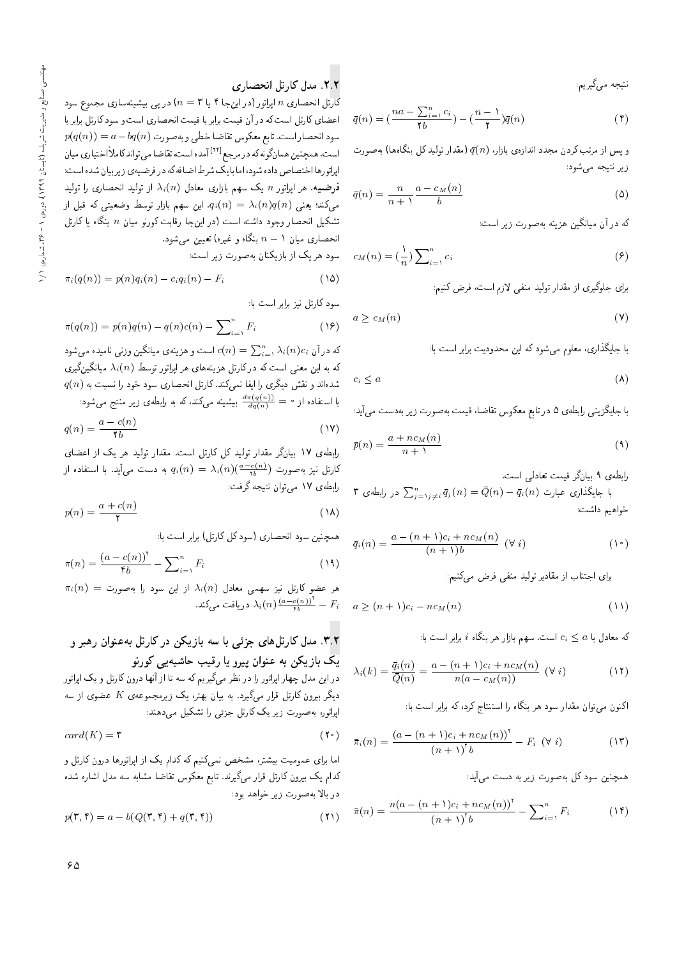نتيجه م<sub>یگ</sub>يريم:

$$
\bar{q}(n) = \left(\frac{na - \sum_{i=1}^{n} c_i}{\gamma b}\right) - \left(\frac{n - 1}{\gamma}\right)\bar{q}(n) \tag{f}
$$

و پس از مرتب کردن مجدد اندازهی بازار،  $\bar{q}(n)$  (مقدار تولید کل بنگاهها) به صورت زير نتيجه مي شود:

$$
\bar{q}(n) = \frac{n}{n+1} \frac{a - c_M(n)}{b} \tag{0}
$$

که در آن میانگین هزینه بهصورت زیر است:

$$
c_M(n) = \left(\frac{1}{n}\right) \sum_{i=1}^n c_i \tag{9}
$$

برای جلوگیری از مقدار تولید منفی لازم است، فرض کنیم:

$$
a \ge c_M(n) \tag{V}
$$

با جايگذاري، معلوم مي شود كه اين محدوديت برابر است با:

$$
c_i \leq a \tag{(\lambda)}
$$

با جايگزينى رابطهى ۵ در تابع معكوس تقاضاً، قيمت بهصورت زير بهدست مى آيد:

$$
\bar{p}(n) = \frac{a + nc_M(n)}{n + 1} \tag{4}
$$

رابطهى ٩ بيانگر قيمت تعادلى است.

۳ با جایگذاری عبارت  $\bar{q}_i(n) = \bar{Q}(n) - \bar{q}_i(n) - \frac{1}{2}$  در رابطه ی خواهيم داشت:

$$
\bar{q}_i(n) = \frac{a - (n+1)c_i + nc_M(n)}{(n+1)b} \quad (\forall i)
$$
 (1°)

برای اجتناب از مقادیر تولید منفی فرض میکنیم:

$$
a \ge (n+1)c_i - nc_M(n) \tag{11}
$$

که معادل با  $a\leq c_i\leq c$  است. سهم بازار هر بنگاه  $i$  برابر است با:

$$
\lambda_i(k) = \frac{\bar{q}_i(n)}{\bar{Q}(n)} = \frac{a - (n+1)c_i + nc_M(n)}{n(a - c_M(n))} \quad (\forall i)
$$
 (11)

اکنون میتوان مقدار سود هر بنگاه را استنتاج کرد، که برابر است با:

$$
\bar{\pi}_i(n) = \frac{\left(a - (n+1)c_i + nc_M(n)\right)^{\dagger}}{(n+1)^{\dagger}b} - F_i \quad (\forall i)
$$
 (17)

همچنین سود کل به صورت زیر به دست می]ید:

$$
\bar{\pi}(n) = \frac{n(a - (n+1)c_i + nc_M(n))^\dagger}{(n+1)^\dagger b} - \sum_{i=1}^n F_i \tag{15}
$$

## ۲.۲ مدل کارتل انحصاری

کارتل انحصاری n اپراتور (در اینجا ۴ یا ۳ $n = (n-1)$  در پی بیشینهسازی مجموع سود اعضاى كارتل است كه در آن قيمت برابر با قيمت انحصارى است و سود كارتل برابر با  $p(q(n)) = a-bq(n)$  سود انحصار است. تابع معکوس تقاضا خطي و به صورت است. همچنین همانگونه که در مرجع<sup>۲۲۱</sup>] آمده است، تقاضا می تواند کاملاً اختیاری میان<br>ایلم سالمند سالمی است. ایراتورها اختصاص داده شود، اما با یک شرط اضافه که در فرضیهی زیربیان شده است:  $\lambda_i(n)$  فرضیه. هر اپراتور  $n$  یک سهم بازاری معادل  $\lambda_i(n)$  از تولید انحصاری را تولید میکند؛ یعنی  $\lambda_i(n) = \lambda_i(n) = q_i(n) = 0$ . این سهم بازار توسط وضعیتی که قبل از تشکیل انحصار وجود داشته است (در اینجا رقابت کورنو میان  $n$  بنگاه یا کارتل انحصاری میان ۱ $n-\eta$  بنگاه و غیره) تعیین میشود.

سود هر یک از بازیکنان بهصورت زیر است:

$$
\pi_i(q(n)) = p(n)q_i(n) - c_iq_i(n) - F_i \tag{12}
$$

سود کارتل نیز برابر است با:

$$
\pi(q(n)) = p(n)q(n) - q(n)c(n) - \sum_{i=1}^{n} F_i
$$
\n
$$
(1)
$$

که در آن  $\lambda_i(n) = \sum_{i=1}^n \lambda_i(n) c_i$  است و هزینهی میانگین وزنبی نامیده میشود $c(n) = \sum_{i=1}^n \lambda_i(n) c_i$ که به این معنی است که در کارتل هزینههای هر ایراتور توسط $\lambda_i(n)$  میانگین $\mathfrak{Z}_n$ ری  $q(n)$  شدهاند و نقش دیگری را ایفا نمیکند. کارتل انحصاری سود خود را نسبت به با استفاده از  $\frac{d\pi(q(n))}{dq(n)}=\frac{d\pi(q(n))}{dq(n)}$ بیشینه می $d\alpha$ ود

$$
q(n) = \frac{a - c(n)}{\gamma b}
$$
 (19)

|=[a= R= l} Qy O}rwD Q=Okt "CU= pDQ=m pm O}rwD Q=Okt Qou=}@ 17 |x]@=Q کارتل نیز بهصورت  $\lambda_i(n) = \lambda_i(n) \frac{a-c(n)}{n}$  به دست میآید. با استفاده از  $\lambda_i$ رابطهى ١٧ مى توان نتيجه گرفت:

$$
p(n) = \frac{a + c(n)}{\gamma}
$$
 (1A)

همچنین سود انحصاری (سود کل کارتل) برابر است با:

$$
\pi(n) = \frac{(a - c(n))^\dagger}{\mathfrak{f}b} - \sum_{i=1}^n F_i
$$
\n(14)

 $\pi_i(n) = \pi_i(n)$  هر عضو کارتل نیز سهمی معادل  $\lambda_i(n)$  از این سود را بهصورت دریافت میکند.  $\lambda_i(n) \frac{(a-c(n))^{\tau}}{\tau_b} - F_i$ 

## ۳.۲. مدل کارتلهای جزئی با سه بازیکن در کارتل بهعنوان رهبر و یک بازیکن به عنوان پیرو یا رقیب حاشیهی<sub>ی</sub> کورنو

در این مدل چهار ایراتور را در نظر میگیریم که سه تا از آنها درون کارتل و یک ایراتور  $\kappa$ دیگر بیرون کارتل قرار میگیرد. به بیان بهتر، یک زیرمجموعهی  $K$  عضوی از سه ابراتور، به صورت زیر یک کارتل جزئی را تشکیل می دهند:

$$
card(K) = \mathbf{r} \tag{1}
$$

اما برای عمومیت بیشتر، مشخص نمیکنیم که کدام یک از اپراتورها درون کارتل و كدام يك بيرون كارتل قرار مى گيرند. تابع معكوس تقاضا مشابه سه مدل اشاره شده در بالا به صورت زیر خواهد بود:

$$
p(\mathbf{r}, \mathbf{f}) = a - b(Q(\mathbf{r}, \mathbf{f}) + q(\mathbf{r}, \mathbf{f}))
$$
\n<sup>(\mathbf{f})</sup>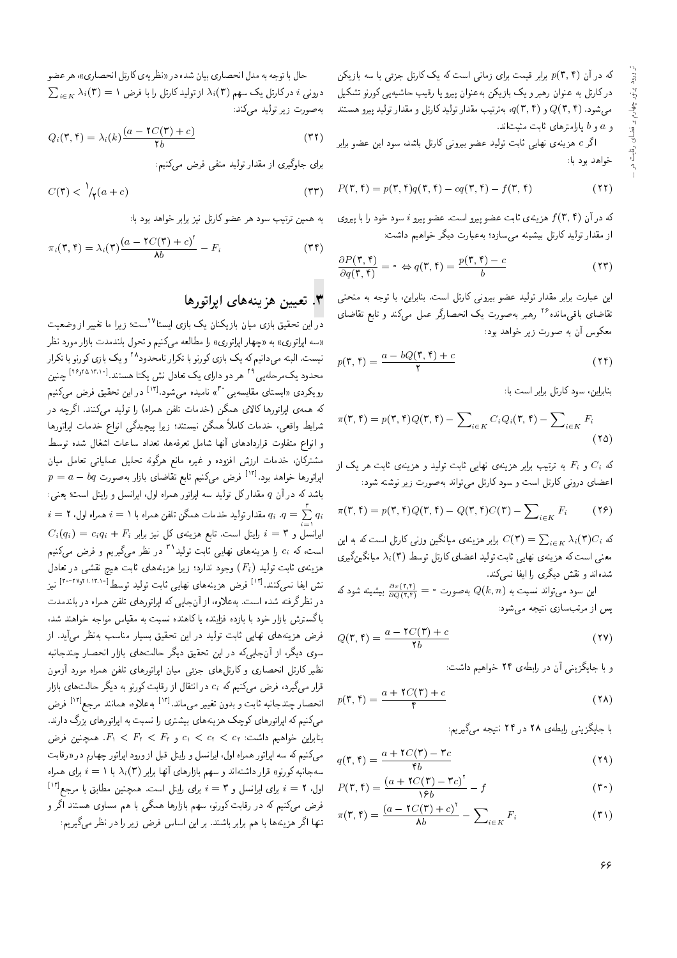که در آن  $p(\textbf{r},\textbf{f})$  برابر قیمت برای زمانی است که یک کارتل جزئی با سه بازیکن در کارتل به عنوان رهبر و یک بازیکن به عنوان پیرو یا رقیب حاشیه یی کورنو تشکیل میشود.  $Q(\mathbf{r},\mathbf{f})$  و  $q(\mathbf{r},\mathbf{f})$  به ترتیب مقدار تولید کارتل و مقدار تولید پیرو هستند و  $a$  و  $b$  يارامترهاى ثابت مثبتاند.

اگر c هزینهی نهایی ثابت تولید عضو بیرونی کارتل باشد، سود این عضو برابر خواهد بود يا:

$$
P(\mathbf{r}, \mathbf{f}) = p(\mathbf{r}, \mathbf{f})q(\mathbf{r}, \mathbf{f}) - cq(\mathbf{r}, \mathbf{f}) - f(\mathbf{r}, \mathbf{f})
$$
\n(11)

که در آن  $f(\mathsf{r},\mathsf{f})$  هزینهی ثابت عضو پیرو است. عضو پیرو  $i$  سود خود را با پیروی از مقدار تولید کارتل بیشینه می سازد؛ بهعبارت دیگر خواهیم داشت:

$$
\frac{\partial P(\mathbf{r}, \mathbf{f})}{\partial q(\mathbf{r}, \mathbf{f})} = \mathbf{e} \Leftrightarrow q(\mathbf{r}, \mathbf{f}) = \frac{p(\mathbf{r}, \mathbf{f}) - c}{b} \tag{17}
$$

این عبارت برابر مقدار تولید عضو بیرونی کارتل است. بنابراین، با توجه به منحنبی تقاضای باقیمانده<sup>۱۶</sup> رهبر بهصورت یک انحصارگر عمل میکند و تابع تقاضای<br>حم معکوس آن به صورت زیر خواهد بود:

 $p(\mathbf{r},\mathbf{f}) = \frac{a - bQ(\mathbf{r},\mathbf{f}) + c}{\mathbf{r}}$ 2  $(11)$ 

بنابراین، سود کارتل برابر است با:

$$
\pi(\mathbf{r}, \mathbf{f}) = p(\mathbf{r}, \mathbf{f})Q(\mathbf{r}, \mathbf{f}) - \sum_{i \in K} C_i Q_i(\mathbf{r}, \mathbf{f}) - \sum_{i \in K} F_i
$$
\n(10)

که  $C_i$  و  $F_i$  به ترتیب برابر هزینهی نهایی ثابت  $C_i$  و تابت هر یک از اعضای درونی کارتل است و سود کارتل می تواند به صورت زیر نوشته شود:

$$
\pi(\mathbf{r}, \mathbf{f}) = p(\mathbf{r}, \mathbf{f})Q(\mathbf{r}, \mathbf{f}) - Q(\mathbf{r}, \mathbf{f})C(\mathbf{r}) - \sum_{i \in K} F_i \tag{18}
$$

ده به ما ين C(۳) =  $\sum_{i \in K} \lambda_i(\mathbf{r}) C_i$ برابر هزينهى ميانگين وزنى كارتل است كه به اين  $C(\mathbf{r}) = \sum_{i \in K} \lambda_i(\mathbf{r}) C_i$ معنی است که هزینهی نهایی ثابت تولید اعضای کارتل توسط  $\lambda_{i}(\textbf{r})$  میانگینگیری شدهاند و نقش دیگری را ایفا نمه کند.

این سود میتواند نسبت به  $Q(k,n)$  بهصورت $\frac{\partial \pi(\mathfrak{r},\mathfrak{r})}{\partial Q(\mathfrak{r},\mathfrak{r})}=\frac{1}{2}\sum_{k=0}^{\infty}P_k(k,k)$ یس از مرتب سازی نتیجه می شود:

$$
Q(\mathbf{r}, \mathbf{f}) = \frac{a - \mathbf{f}C(\mathbf{r}) + c}{\mathbf{f}b} \tag{1.1}
$$

و با جایگزینی آن در رابطهی ۲۴ خواهیم داشت:

$$
p(\mathbf{r}, \mathbf{f}) = \frac{a + \mathbf{f}C(\mathbf{r}) + c}{\mathbf{f}} \tag{1.1}
$$

با جایگزینی رابطهی ۲۸ در ۲۴ نتیجه مهگیریم:

$$
q(\mathbf{r}, \mathbf{f}) = \frac{a + \mathbf{f}C(\mathbf{r}) - \mathbf{r}_c}{\mathbf{f}_b}
$$
(13)

$$
P(\mathbf{r}, \mathbf{f}) = \frac{(a + \mathbf{f}C(\mathbf{r}) - \mathbf{r}_c)^{\mathsf{T}}}{\mathsf{F}b} - f
$$
( $\mathbf{r} \cdot$ )

$$
\pi(\mathbf{r}, \mathbf{f}) = \frac{\left(a - \mathbf{f}C(\mathbf{r}) + c\right)^{\mathsf{T}}}{\mathsf{A}b} - \sum_{i \in K} F_i \tag{T}
$$

حال با توجه به مدل انحصارى بيان شده در «نظريهى كارتل انحصارى»، هر عضو  $\sum_{i\in K}\lambda_i(\textbf{r})=\textbf{1}$  درونی  $i$  درکارتل یک سهم (۳) از تولید کارتل را با فرض بهصورت زیر تولید مهرکند:

$$
Q_i(\mathbf{r}, \mathbf{f}) = \lambda_i(k) \frac{(a - \mathbf{r}C(\mathbf{r}) + c)}{\mathbf{r}b} \tag{T1}
$$

برای جلوگیری از مقدار تولید منفی فرض میکنیم:<br>.

$$
C(\mathbf{r}) < \gamma_{\mathbf{r}}(a+c) \tag{r} \tag{r}
$$

به همین ترتیب سود هر عضو کارتل نیز برابر خواهد بود با:

$$
\pi_i(\mathbf{r}, \mathbf{f}) = \lambda_i(\mathbf{r}) \frac{(a - \mathbf{r}C(\mathbf{r}) + c)^{\mathbf{r}}}{\mathbf{r}} - F_i
$$
\n
$$
\tag{2.7}
$$

#### =yQwD=QB= |=yxv}Ry u}}aD "3

در این تحقیق بازی میان بازیکنان یک بازی ایستا<sup>۱۷</sup>ست؛ زیرا ما تغییر از وضعیت<br>مارام میان «سه اپراتوری» به «چهار اپراتوری» را مطالعه میکنیم و تحول بلندمدت بازار مورد نظر نیست. البته میدانیم که یک بازی کورنو با تکرار نامحدود^` و یک بازی کورنو با تکرار<br>بر سور ۱۳۹۰–۱۳۹۰ محدود یک مرحله یی<sup>۲۹</sup> هر دو دارای یک تعادل نش یکتا هستند.<sup>[۲۶٫۲۵٬۱۲۰۱۰]</sup> چنین<br>کرفت کرده استان رویکردی «ایستای مقایسه یی° ۳) نامیده میشود.<sup>[۱۲]</sup> در این تحقیق فرض میکنیم<br>کمیسیول ایران کافیل می دارد استفاد که همهی اپراتورها کالای همگن (خدمات تلفن همراه) را تولید میکنند. اگرچه **د**ر شرایط واقعی، خدمات کاملاً همگن نیستند؛ زیرا پیچیدگی انواع خدمات اپراتورها و انواع متفاوت قراردادهاى أنها شامل تعرفهها، تعداد ساعات اشغال شده توسط مشترکان، خدمات ارزش افزوده و غیره مانع هرگونه تحلیل عملیاتی تعامل میان  $p \, = \, a - b q \,$  پراتورها خواهد بود. $^{\, \lceil \mathcal{N} \rceil \,}$  فرض میکنیم تابع تقاضای بازار بهصورت $^{\, \lceil \mathcal{N} \rceil \,}$ باشد که در آن q مقدار کل تولید سه اپراتور همراه اول، ایرانسل و رایتل است؛ یعنی:  $i=1$  'p مقدار تولید خدمات همگن تلفن همراه با ۱ $i=1$  همراه اول،  $q_i =\sum\limits_{i=1}^{\mathfrak{r}}q_i$  $C_i(q_i) \, = \, c_i q_i \, + \, F_i$  إيرانسل و ٣ = ( بايتل است. تابع هزينهى كل نيز برابر $i = 1, 2, \ldots, S$ است، که  $c_i$  را هزینههای نهایی ثابت تولید<sup>۳۱</sup> در نظر میگیریم و فرض میکنیم هزینهی ثابت تولید  $(F_i)$  وجود ندارد؛ زیرا هزینههای ثابت هیچ نقشی در تعادل نش ايفا نسىكنند.<sup>[۱۲]</sup> فرض هزينههاى نهايى ئابت توليد توسط<sup>[۱۲۳٬۱۰۲</sup>۰۱۰۳۰۰] نيز<br>شمال گرفت بودند. در نظر گرفته شده است. بهعلاوه، از آنجایی که اپراتورهای تلفن همراه در بلندمدت باگسترش بازار خود با بازده فزاینده یا کاهنده نسبت به مقیاس مواجه خواهند شد، فرض هزینههای نهایی ثابت تولید در این تحقیق بسیار مناسب بهنظر می آید. از سوی دیگر، از آنجاییکه در این تحقیق دیگر حالتهای بازار انحصار چندجانبه نظیر کارتل انحصاری و کارتلهای جزئی میان ایراتورهای تلفن همراه مورد آزمون قرار میگیرد، فرض میکنیم که  $c_i$  در انتقال از رقابت کورنو به دیگر حالت های بازار انحصار چندجانبه ثابت و بدون تغییر میbند.<sup>[۱۲]</sup> به علاوه، همانند مرجع<sup>[۱۲]</sup> فرض<br>- کند کر ایل سال کر ک میکنیم که اپراتورهای کوچک هزینههای بیشتری را نسبت به اپراتورهای بزرگ دارند.  $F_1 < F_1 < F_2 < F_3$  بنابراین خواهیم داشت:  $c_1 < c_3 < c_4$  همچنین فرض می کنیم که سه اپراتور همراه اول، ایرانسل و رایتل قبل از ورود اپراتور چهارم در «رقابت سهجانبه كورنو» قرار داشتهاند و سهم بازارهاى آنها برابر (٣)  $\lambda_i(\mathsf{r})$  با د $i=1$  براى همراه اول، ۲ = i برای ایرانسل و ۳ = i برای رایتل است. همچنین مطابق با مرجع<sup>[۱۲]</sup><br>زید می کند کر ستار کرد که فرض میکنیم که در رقابت کورنو، سهم بازارها همگی با هم مساوی هستند آگر و تنها اگر هزینهها با هم برابر باشند. بر این اساس فرض زیر را در نظر میگیریم: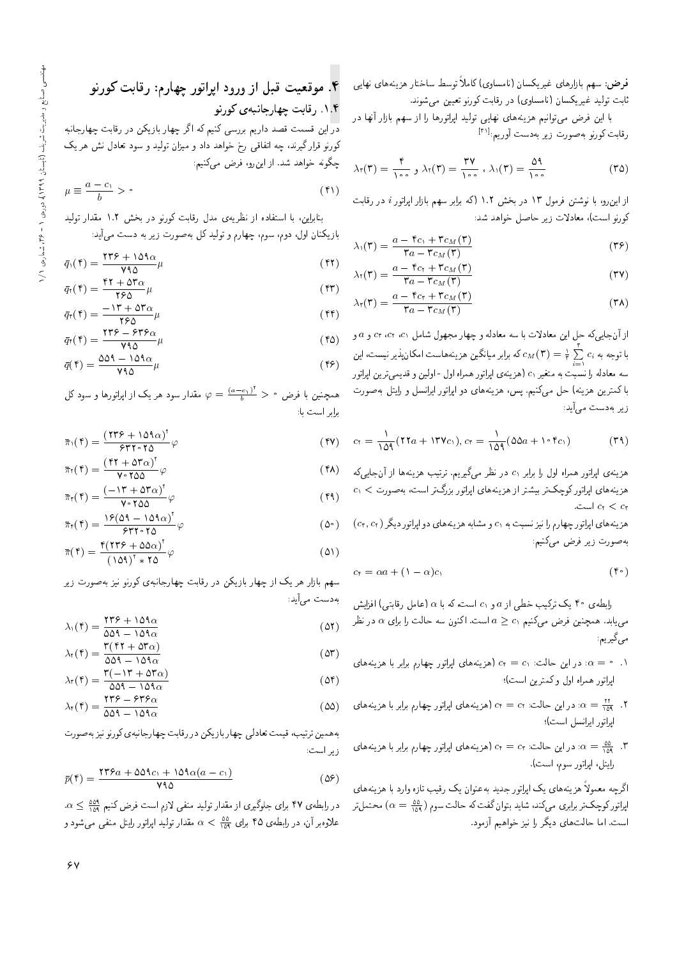فرض: سهم بازارهای غیریکسان (نامساوی) کاملا توسط ساختار هزینههای نهایی<br>است داریس کواسلال استک ثابت توليد غيريكسان (نامساوى) در رقابت كورنو تعيين مى شوند.

با این فرض می توانیم هزینههای نهایی تولید اپراتورها را از سهم بازار آنها در رقابت كورنو بهصورت زير بهدست أوريم:<sup>[۳۱]</sup><br>.

$$
\lambda_{\tau}(\tau) = \frac{\tau}{\lambda \circ \circ} \, , \, \lambda_{\tau}(\tau) = \frac{\tau \gamma}{\lambda \circ \circ} \, , \, \lambda_{\tau}(\tau) = \frac{\Delta \eta}{\lambda \circ \circ} \tag{72}
$$

از این رو، با نوشتن فرمول ۱۳ در بخش ۱.۲ (که برابر سهم بازار اپراتور i در رقابت كورنو است)، معادلات زير حاصل خواهد شد:

$$
\lambda_1(\mathbf{r}) = \frac{a - \mathbf{r}_{c_1} + \mathbf{r}_{c_M}(\mathbf{r})}{\mathbf{r}_a - \mathbf{r}_{c_M}(\mathbf{r})}
$$
( $\mathbf{r}_f$ )

$$
\lambda_{\mathsf{r}}(\mathsf{r}) = \frac{a - \mathsf{r}_{c_{\mathsf{r}}} + \mathsf{r}_{c_{\mathsf{M}}}(\mathsf{r})}{\mathsf{r}_{a} - \mathsf{r}_{c_{\mathsf{M}}}(\mathsf{r})}
$$
(**r**\mathsf{v})

$$
\lambda_{\mathsf{r}}(\mathsf{r}) = \frac{a - \mathsf{r}_{c_{\mathsf{r}}} + \mathsf{r}_{c_{M}}(\mathsf{r})}{\mathsf{r}_{a} - \mathsf{r}_{c_{M}}(\mathsf{r})} \tag{4.1}
$$

از آن جاییکه حل این معادلات با سه معادله و چهار مجهول شامل ۲۰، cr ،c۱ و a و با توجه به  $c_{M}(\textbf{r})=\frac{1}{\tau}\sum\limits_{i=1}^{r}c_{i}$  كه برابر ميانگين هزينههاست امكان پذير نيست، اين i=۱<br>سه معادله را نسبت به متغیر c۱ (هزینهی اپراتور همراه اول - اولین و قدیمیترین اپراتور<br>اگر با کمترین هزینه) حل میکنیم. پس، هزینههای دو اپراتور ایرانسل و رایتل به صورت ز یر به دست می]آید:

$$
c_{t} = \frac{1}{109} (17a + 17\gamma c_{1}), c_{t} = \frac{1}{109} (\Delta\Delta a + 1 \cdot \tau c_{1})
$$
 (79)

هزينهى اپراتور همراه اول را برابر ،c در نظر مىگيريم. ترتيب هزينهها از آنجايىكه  $c_1 < c_2$ هزینههای اپراتور کوچکتر بیشتر از هزینههای اپراتور بزرگتر است، بهصورت . است. $c_1 < c_3$ 

 $(c_{\tau}, c_{\tau})$ هزینههای اپراتور چهارم را نیز نسبت به ۵٫ و مشابه هزینههای دو اپراتور دیگر به صورت زیر فرض میکنیم:

$$
c_{\mathfrak{k}} = \alpha a + (1 - \alpha)c_{\mathfrak{k}} \tag{5}
$$

رابطهی ۴۰ یک ترکیب خطی از a و c<sub>۱</sub> است، که با a (عامل رقابتی) افزایش می یابد. همچنین فرض میکنیم د $a \geq c$  است. اکنون سه حالت را برای  $\alpha$  در نظر مى گيرىم:

- ا. • $\alpha=\alpha$ : در این حالت: ، $c_{\mathfrak{f}}=c_1$  (هزینههای اپراتور چهارم برابر با هزینههای ايراتور همراه اول و كمترين است)؛
- ۰۲  $\frac{m}{\alpha} = \frac{m}{\alpha}$ : در این حالت: c<sub>t</sub> = c<sub>۲</sub> (هزینههای اپراتور چهارم برابر با هزینههای .<br>امام اسلمان که ايراتور ايرانسل است)؛
- ۰۳ ق عديد العربي حالت: c<sub>t</sub> = c<sub>۲</sub> (هزينه هاى اپراتور چهارم برابر با هزينه هاى C<sub>1</sub> رايتل، اپراتور سوم، است).

|گرچه معمولاً هزینههای یک اپراتور جدید بهعنوان یک رقیب تازه وارد با هزینههای اپراتورکوچک تر برابری میکند، شاید بتوان گفت که حالت سوم ( ۵<u>۵ as)</u> محتمل تر<br>ا است. اما حالت های دیگر را نیز خواهیم آزمود.

wvQwm C@=kQ %sQ=yJ QwD=QB= OwQw R= p@k C}akwt "4 wvQwm |x@v=HQ=yJ C@=kQ "1"4

<mark>در</mark> این قسمت قصد داریم بررسی کنیم که اگر چهار بازیکن در رقابت چهارجانبه کورنو قرار گیرند، چه اتفاقی رخ خواهد داد و میزان تولید و سود تعادل نش هر یک چگونه خواهد شد. از اینرو، فرض میکنیم:

$$
\mu \equiv \frac{a - c_1}{b} > \text{°}
$$
\n<sup>(f)</sup>

بنابراین، با استفاده از نظریهی مدل رقابت کورنو در بخش ۱.۲ مقدار تولید

بازیکنان اول، دوم، سوم، چهارم و تولید کل بهصورت زیر به دست می]ید:

$$
\bar{q}_{\lambda}(\mathbf{f}) = \frac{\mathbf{f}\mathbf{f}\mathbf{f} + \lambda \Delta \mathbf{f}\alpha}{\mathbf{V}\mathbf{A}\Delta} \mu \tag{f1}
$$

$$
\bar{q}_{\mathfrak{r}}(\mathfrak{r}) = \frac{\mathfrak{r}\mathfrak{r} + \Delta \mathfrak{r}_{\alpha}}{\mathfrak{r} \epsilon \Delta} \mu \tag{57}
$$
\n
$$
-\mathfrak{r} \mathfrak{r} + \Delta \mathfrak{r}_{\alpha} \tag{58}
$$

$$
\bar{q}_{\tau}(\tau) = \frac{-\Gamma \tau + \Delta \tau \alpha}{\tau \epsilon \Delta} \mu \tag{f} \tag{f} \tau
$$

$$
\bar{q}_{\tau}(\tau) = \frac{\tau \tau \epsilon - \epsilon \tau \epsilon_{\alpha}}{\nu \tau_{\alpha}} \mu \tag{62}
$$
\n
$$
\Delta \Delta \tau - \Delta \tau \Delta \tau \tag{63}
$$

$$
\bar{q}(\mathbf{f}) = \frac{\Delta \Delta \mathbf{q} - \Delta \mathbf{q} \alpha}{\mathbf{y} \mathbf{q} \Delta} \mu \tag{59}
$$

همچنین با فرض ° $\varphi = \frac{(a-c_1)^\intercal}{b} > 0$  مقدار سود هر یک از اپراتورها و سود کل برابر است با:

$$
\bar{\pi}_{1}(\mathbf{f}) = \frac{(\mathbf{f}\mathbf{f}\hat{\mathbf{y}} + \mathbf{1}\Delta\mathbf{A}\alpha)^{\mathbf{y}}}{\hat{\mathbf{y}}\mathbf{f}\mathbf{f}\cdot\mathbf{f}\Delta}\varphi
$$
\n
$$
(\mathbf{f}\mathbf{y}) = (\mathbf{f}\mathbf{f} + \Delta\mathbf{f}\alpha)^{\mathbf{y}}\varphi
$$
\n
$$
(\mathbf{f}\mathbf{y}) = (\mathbf{f}\mathbf{y} + \Delta\mathbf{f}\alpha)^{\mathbf{y}}\varphi
$$
\n
$$
(\mathbf{f}\mathbf{y}) = (\mathbf{f}\mathbf{y} + \Delta\mathbf{f}\alpha)^{\mathbf{y}}\varphi
$$
\n
$$
(\mathbf{f}\mathbf{y}) = (\mathbf{f}\mathbf{y} + \Delta\mathbf{f}\alpha)^{\mathbf{y}}\varphi
$$

$$
\bar{\pi}_{\tau}(\mathbf{f}) = \frac{(\mathbf{f}\mathbf{f} + \Delta \mathbf{r}_{\alpha})^{\top}}{\mathbf{v} \cdot \mathbf{r}_{\alpha}} \varphi
$$
\n
$$
\bar{\pi}_{\tau}(\mathbf{f}) = \frac{(-1\mathbf{r} + \Delta \mathbf{r}_{\alpha})^{\top}}{\mathbf{v} \cdot \mathbf{r}_{\alpha}} \varphi
$$
\n
$$
(\mathbf{f}\mathbf{A})
$$
\n
$$
(\mathbf{f}\mathbf{A})
$$

$$
\bar{\pi}_{\tau}(\tau) = \frac{\tau + \tau \Delta \tau \Delta \sigma}{\sqrt{2 \pi} \Delta \rho} \varphi
$$
(f4)  

$$
\bar{\pi}_{\tau}(\tau) = \frac{\tau \rho (\Delta \tau - \tau \Delta \tau \Delta)^{\tau}}{\rho \tau \tau \Delta \tau} \varphi
$$
(\Delta \circ )  

$$
\tau (\tau \tau \epsilon + \Delta \Delta \sigma)^{\tau}
$$

$$
\bar{\pi}(\mathbf{f}) = \frac{\mathbf{f}(\mathbf{f}\mathbf{f}\mathbf{f} + \Delta\Delta\alpha)^{\mathsf{T}}}{(\Delta\mathbf{A})^{\mathsf{T}} * \mathbf{f}\Delta} \varphi \tag{2}
$$

سهم بازار هر یک از چهار بازیکن در رقابت چهارجانبهی کورنو نیز به صورت زیر بەدىست مى]يد:

$$
\lambda_1(\mathbf{f}) = \frac{\mathbf{f}\mathbf{f}\mathbf{f} + \mathbf{1}\Delta\mathbf{f}\alpha}{\Delta\Delta\mathbf{f} - \mathbf{1}\Delta\mathbf{f}\alpha}
$$
 (25)

$$
\lambda_{\tau}(\tau) = \frac{\tau(\tau\tau + \Delta\tau\alpha)}{\Delta\Delta\tau - \Delta\tau\alpha}
$$
 (2\tau)  

$$
\tau(-\tau + \Delta\tau\alpha)
$$

$$
\lambda_{\tau}(\tau) = \frac{\tau(-1\tau + \Delta\tau_{\alpha})}{\Delta\Delta\tau - 1\Delta\tau_{\alpha}}
$$
\n
$$
\tau\tau_{\epsilon} = \epsilon\tau_{\epsilon\alpha}
$$
\n(25)

$$
\lambda_{\tau}(\mathbf{f}) = \frac{\mathbf{f}\mathbf{f}\mathbf{f} - \mathbf{f}\mathbf{f}\mathbf{f}\alpha}{\Delta\Delta - 1\Delta\Delta\alpha} \tag{2\Delta}
$$

به همین ترتیب، قیمت تعادلی چهار بازیکن در رقابت چهارجانبهی کورنو نیز به صورت<br>. زير است:

$$
\bar{p}(\mathbf{f}) = \frac{\mathbf{f}\mathbf{f}\mathbf{f}a + \Delta\Delta\mathbf{f}c_1 + \Delta\mathbf{f}\alpha(a-c_1)}{\mathbf{y}\mathbf{f}\Delta} \tag{25}
$$

 $\alpha \leq \frac{\omega \alpha}{124}$ در رابطهءی ۴۷ برای جلوگیری از مقدار تولید منفی لازم است فرض کنیم ۱۵۹  $\alpha \leq \frac{\omega \alpha}{124}$ علاوه بر آن، در رابطه ی ۴۵ برای  $\frac{\delta\alpha}{105}<\alpha<\frac{1}{100}$  مقدار تولید اپراتور رایتل منفی می شود و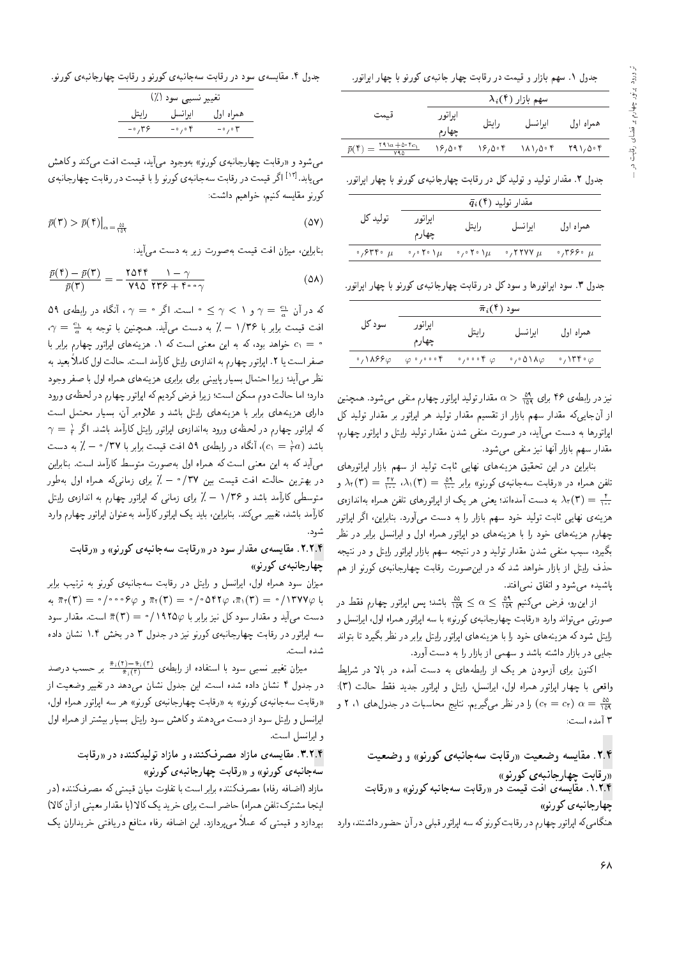جدول ۱. سهم بازار و قیمت در رقابت چهار جانبهی کورنو با چهار اپراتور.

|                                                                                                                                           |                  |       | $\lambda_i(\mathfrak{k})$ سهم بازار                                                                                                                      |           |
|-------------------------------------------------------------------------------------------------------------------------------------------|------------------|-------|----------------------------------------------------------------------------------------------------------------------------------------------------------|-----------|
| قىمت                                                                                                                                      | اپراتور<br>چهارم | رايتل | ايرانسل                                                                                                                                                  | همراه اول |
| $\bar{p}(\mathbf{r}) = \frac{\mathbf{r} \cdot \mathbf{r}_{a} + \mathbf{r}_{b} \cdot \mathbf{r}_{c}}{\mathbf{r}_{a} \cdot \mathbf{r}_{b}}$ |                  |       | $\lambda_{\mathcal{F}}$ , $\Delta_{\mathcal{F}}$ if $\Delta_{\mathcal{F}}$ is $\Delta_{\mathcal{F}}$ if $\Delta_{\mathcal{F}}$ if $\Delta_{\mathcal{F}}$ |           |

جدول ۲. مقدار تولید و تولید کل در رقابت چهارجانبهی کورنو با چهار ایراتور.

|                                    |                                     |                                     | $\bar{q}_i$ (۴) مقدار تولید |                        |
|------------------------------------|-------------------------------------|-------------------------------------|-----------------------------|------------------------|
| توليد كل                           | ايراتور<br>چهارم                    | رايتل                               | ايرانسل                     | همراه اول              |
| $\cdot$ , $\circ$ rr $\cdot$ $\mu$ | $\cdot$ , $\cdot$ Y $\cdot$ \ $\mu$ | $\cdot$ , $\cdot$ Y $\cdot$ \ $\mu$ | $\cdot$ , ۲۲۷۷ $\mu$        | $\cdot$ ,۳۶۶ $\cdot$ μ |
|                                    |                                     |                                     |                             |                        |

.<br>جدول ۳. سود ایراتورها و سود کل در رقابت چهارجانبهی کورنو با چهار ایراتور

|        | $\bar{\pi}_i(\mathfrak{k})$ سود                                                                                                           |       |         |           |
|--------|-------------------------------------------------------------------------------------------------------------------------------------------|-------|---------|-----------|
| سود کل | ايراتور<br>چهارم                                                                                                                          | رايتل | ايرانسل | همراه اول |
|        | $\sim$ , ۱۸۶۶ $\varphi$ ( $\varphi$ ), $\circ\circ$ (f) ( $\varphi$ ( $\varphi$ ( $\wedge$ )), $\varphi$ ( $\wedge$ ), $\vee$ ( $\varphi$ |       |         |           |

نیز در رابطهی ۴۶ برای ۵<u>۹ کسم ه</u>قدار تولید اپراتور چهارم منفی می شود. همچنین<br>استقدار کرد تها از آن جایی که مقدار سهم بازار از تقسیم مقدار تولید هر اپراتور بر مقدار تولید کل ابراتورها به دست می]ید، در صورت منفی شدن مقدار تولید رایتل و ابراتور چهارم، مقدار سهم بازار آنها نیز منفی می شود.

بنابراین در این تحقیق هزینههای نهایی ثابت تولید از سهم بازار اپراتورهای  $\Delta_\gamma(\Upsilon)=\frac{\Upsilon\Upsilon}{\Upsilon^*}\,\,\partial_\gamma(\Upsilon)=\frac{\partial\Upsilon}{\Upsilon^*}\,\,\,$ گل در «رقابت سهجانبه $\Delta_\gamma(\Upsilon)=\frac{\Upsilon}{\Upsilon^*}\,\,\,$ ر در «رقابت سهجانبه به مست آمدهاند؛ یعنی هر یک از اپراتورهای تلفن همراه بهاندازه<br>مستقل استفاده استفاده و مقامت استفاده استقلال استقلال استفاده استقلال استفاده استقلال است هزینهی نهایی ثابت تولید خود سهم بازار را به دست می آورد. بنابراین، اگر ایراتور حهارم هزینههای خود را با هزینههای دو ایراتور همراه اول و ایرانسل برابر در نظر بگیرد. سبب منفی شدن مقدار تولید و در نتیجه سهم بازار ایراتور رایتل و در نتیجه حذف رایتل از بازار خواهد شد که در این صورت رقابت چهارجانبه $\zeta$  کورنو از هم باشیده می شود و اتفاق نمه افتد.

از این رو، فرض مرکنیم ۱۵۹  $\alpha \leq \frac{\delta \alpha}{\delta}$  باشد؛ پس اپراتور چهارم فقط در<br>این را استاد صورتي مي تواند وارد «رقابت چهارجانبهي كورنو» با سه ايراتور همراه اول، ايرانسل و رایتل شود که هزینههای خود را با هزینههای ایرانور رایتل برابر در نظر بگیرد تا بتواند جایی در بازار داشته باشد و سهمی از بازار را به دست آورد.

اکنون برای آزمودن هر یک از رابطههای به دست آمده در بالا در شرایط واقعي با چهار اپراتور همراه اول، ايرانسل، رايتل و اپراتور جديد فقط حالت (٣): ی 2 '1 o (c<sub>t</sub> = c<sub>r</sub>) را در نظر میگیریم. نتایج محاسبات در جدول های ۱، ۲ و (c<sub>t</sub> = c<sub>r</sub> ۳ آمده است:

۲.۴. مقایسه وضعیت «رقابت سهجانیهی کورنو» و وضعیت <sub>((ر</sub>قابت حهار جانبه ی کورنو)) ۰.۲.۴ مقایسه ی آفت قیمت در «رقابت سهجانبه کورنو» و «رقابت چهارجانبه *ی* کورنو» هنگامی که ایراتور چهارم در رقابت کورنوکه سه ایراتور قبلی در آن حضور داشتند، وارد

جدول ۴. مقایسه ی سود در رقابت سه جانبه ی کورنو و رقابت چهارجانبه ی کورنو.

|        | تغییر نسبی سود (٪)            |                         |
|--------|-------------------------------|-------------------------|
| رايتل  | ا ایرا نسل                    | همراه اول               |
| ۳۶، ۰- | $-\circ$ , $\circ$ $\uparrow$ | $-\circ$ , $\circ \tau$ |
|        |                               |                         |

می شود و «رقابت چهارجانبه ی کورنو» بهوجود میآید، قیمت افت می کند و کاهش می،یابد ا<sup>۱۲۳]</sup> اگر قیمت در رقابت سهجانبهی کورنو را با قیمت در رقابت چهارجانبهی<br>بر میدهای ایران كورنو مقايسه كنيم، خواهيم داشت:

$$
\bar{p}(\mathbf{r}) > \bar{p}(\mathbf{f}) \big|_{\alpha = \frac{\Delta \Delta}{1 \Delta \mathbf{f}}} \tag{2V}
$$

بنابراین، میزان افت قیمت بهصورت زیر به دست می آید:

$$
\frac{\bar{p}(\mathbf{f}) - \bar{p}(\mathbf{f})}{\bar{p}(\mathbf{f})} = -\frac{\mathbf{Y}\Delta\mathbf{f}\mathbf{f}}{\mathbf{Y}\mathbf{Y}\Delta}\frac{\mathbf{Y} - \gamma}{\mathbf{Y}\mathbf{Y}\mathbf{Y} + \mathbf{Y}\cdot\mathbf{Y}}
$$
(\Delta\mathbf{A})

که در آن  $\frac{c_1}{a}$  =  $\gamma$  و ۱  $\gamma$   $\leq$   $\gamma$  است. اگر مست آنگاه در رابطهی ۵۹  $\gamma$  $\gamma = \frac{c_1}{a}$  افت قیمت برابر با ۱/۳۶  $\lambda$  به دست می $\lambda$ بد. همچنین با توجه به  $\gamma = a$  $c_1=c_2$  خواهد بود، که به این معنی است که ۱. هزینههای ایراتور چهارم برابر با صفر است یا ۲. ایراتور چهارم به اندازهی رایتل کارامد است. حالت اول کاملا بعید به<br>منا نظر می]ّید؛ زیرا احتمال بسیار پایینی برای برابری هزینههای همراه اول با صفر وجود دارد؛ اما حالت دوم ممکن است؛ زيرا فرض کرديم که ايراتور جهارم در لحظهي ورود دارای هزینههای برابر با هزینههای رایتل باشد و علاوهبر آن، بسیار محتمل است که اپراتور چهارم در لحظهءی ورود بهاندازه،ی اپراتور رایتل کارآمد باشد. اگر پ<sup>د</sup> =  $\gamma$ <br>این دیر در سال توسط استان میشود. باشد (c, =  $\frac{\lambda}{r}$ )، آنگاه در رابطهی ۵۹ افت قیمت برابر با ۰/۳۷ – ٪ به دست $\lambda$ میمآید که به این معنی است که همراه اول بهصورت متوسط کارآمد است. بنابراین در بهترین حالت، افت قیمت بین ۳۷/۰ – ٪ برای زمان<sub>ی</sub>که همراه اول ب*ه*طور متوسطی کارآمد باشد و ۱/۳۶ – ٪ برای زمانی که ایراتور چهارم به اندازهی رایتل کارآمد باشد، تغییر میکند. بنابراین، باید یک ایراتور کارآمد به عنوان ایراتور چهارم وارد شو د.

#### ۲.۲.۴. مقایسهی مقدار سود در «رقابت سهجانبهی کورنو» و «رقابت چهارجانبه ي كورنو»

میزان سود همراه اول، ایرانسل و رایتل در رقابت سهجانبهی کورنو به ترتیب برابر  $\pi_{\tau}(\mathsf{r}) = \circ/\circ \circ \circ \varphi$ به  $\pi_{\tau}(\mathsf{r}) = \circ/\circ \mathsf{OPT}$ به به دست می]ً ید و مقدار سود کل نیز برابر با ۱۹۲۵ $\bar{\pi}(\mathsf{r}) = \bar{\pi}(\mathsf{r})$  است. مقدار سود سه ایراتور در رقابت چهارجانبهی کورنو نیز در جدول ۳ در بخش ۱.۴ نشان داده شده است.

میزان تغییر نسبی سود با استفاده از رابطهی  $\frac{\overline{\pi}_i(\bar{\tau})}{\overline{\pi}_i(\bar{\tau})}$  بر حسب درصد<br>در عدیدار سال در جدول ۴ نشان داده شده است. این جدول نشان می،دهد در تغییر وضعیت از «رقابت سهجانبهى كورنو» به «رقابت چهارجانبهى كورنو» هر سه اپراتور همراه اول. ا برانسل و رایتل سود از دست می دهند و کاهش سود رایتل بسیار بیشتر از همراه اول و ايرانسل است.

## ۳.۲.۴. مقایسه ی مازاد مصدف کننده و مازاد تولیدکننده در «رقابت سه جانبه ی کورنو» و «رقابت چهارجانبه ی کورنو»

مازاد (اضافه رفاه) مصرفکننده برابر است با تفاوت میان قیمتی که مصرفکننده (در اينجا مشترك تلفن همراه) حاضر است براي خريد يك كالا (يا مقدار معيني از آن كالا) بیردازد و قیمتی که عملاً می بردازد. این اضافه رفاه منافع دریافتی خریداران یک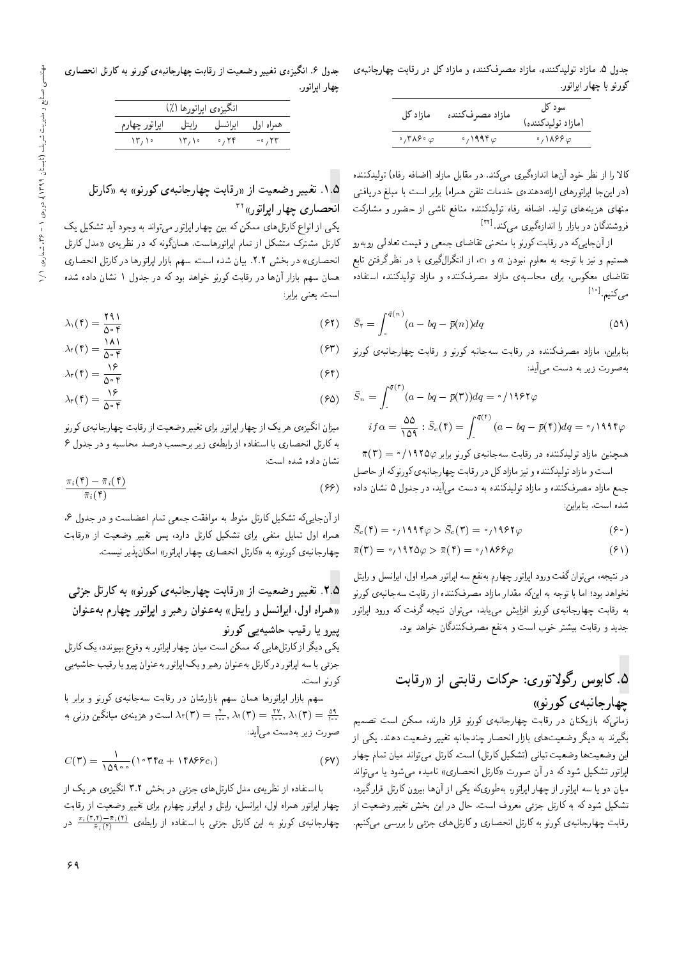جدول ۵. مازاد تولیدکننده، مازاد مصرفکننده و مازاد کل در رقابت چهارجانبهی كورنو با چهار اپراتور.

| مازاد کل                         | مازاد مصرفكننده          | سود کل<br>(مازاد توليدكننده)        |
|----------------------------------|--------------------------|-------------------------------------|
| $\cdot$ , ۳ ۸۶ $\cdot$ $\varphi$ | $\cdot$ , 1996 $\varphi$ | $\cdot$ ,\ $\lambda$ ۶۶ $\varphi$ . |

کالا را از نظر خود آنها اندازهگیری مے کند. در مقابل مازاد (اضافه رفاه) تولیدکننده (در این جا اپراتورهای ارائهدهندهی خدمات تلفن همراه) برابر است با مبلغ دریافتی منهای هزینههای تولید. اضافه رفاه تولیدکننده منافع ناشی از حضور و مشارکت فروشندگان در بازار را اندازهگیری میکند.<sup>[۳۲]</sup><br>مساحت است

از آن جای<sub>و،</sub>که در رقابت کورنو با منحنی تقاضای جمعی و قیمت تعادل<sub>ی</sub> روبهرو هستیم و نیز با توجه به معلوم نبودن  $a$  و  $c_1$ ، از انتگرال $\xi$ یری با در نظر گرفتن تابع تقاضای معکوس، برای محاسبهی مازاد مصرفکننده و مازاد تولیدکننده استفاده مىكنيم.<sup>[۱۰]</sup>

$$
\bar{S}_{\tau} = \int_{\tau}^{\bar{q}(n)} (a - bq - \bar{p}(n)) dq
$$
 (01)

بنابراین، مازاد مصرفکننده در رقابت سهجانبه کورنو و رقابت چهارجانبهی کورنو به صورت زیر به دست م<sub>ی</sub>]ًید:

$$
\bar{S}_n = \int_{\circ}^{\bar{q}(\tau)} (a - bq - \bar{p}(\tau)) dq = \frac{\partial}{\partial \tau} \rho + \frac{\bar{q}(\tau)}{\rho} \rho
$$
\n
$$
if \alpha = \frac{\partial \rho}{\partial \tau} : \bar{S}_c(\tau) = \int_{\cdot}^{\bar{q}(\tau)} (a - bq - \bar{p}(\tau)) dq = \frac{\rho}{\rho} \rho + \frac{\bar{q}(\tau)}{\rho} \rho
$$

 $\bar{\pi}(\mathbf{r}) = \sqrt{1880}$ همچنین مازاد تولیدکننده در رقابت سهجانبهی کورنو برابر ۱۹۲۵/۰

است و مازاد توليدكننده و نيز مازادكل در رقابت چهارجانبهى كورنوكه از حاصل جمع مازاد مصرفکننده و مازاد تولیدکننده به دست میآید، در جدول ۵ نشان داده شده است. بنابراین:

$$
\bar{S}_c(\mathbf{f}) = \cdot \mathbf{1} \mathbf{1} \mathbf{1} \mathbf{f} \varphi > \bar{S}_c(\mathbf{f}) = \cdot \mathbf{1} \mathbf{1} \mathbf{1} \mathbf{f} \varphi \tag{9}
$$

$$
\bar{\pi}(\mathbf{r}) = \mathbf{P}_1 \mathbf{M} \mathbf{M} \mathbf{A} \varphi > \bar{\pi}(\mathbf{r}) = \mathbf{P}_1 \mathbf{M} \mathbf{M} \varphi \tag{9}
$$

در نتیجه، میتوان گفت ورود اپراتور چهارم به نفع سه اپراتور همراه اول، ایرانسل و رایتل نخواهد بود؛ اما با توجه به اینکه مقدار مازاد مصرفکننده از رقابت سهجانبهی کورنو به رقابت چهارجانبه، كورنو افزايش مىيابد. مىتوان نتيجه گرفت كه ورود اپراتور جدید و رقابت بیشتر خوب است و بهنفع مصرفکنندگان خواهد بود.

C@=kQ R= |D@=kQ C=mQL %|QwDqwoQ Tw@=m "5 wvQwm |x@v=HQ=yJ

زمانیکه بازیکنان در رقابت چهارجانبهی کورنو قرار دارند، ممکن است تصمیم<br>گست بگیرند به دیگر وضعیتهای بازار انحصار چندجانبه تغییر وضعیت دهند. یکپی از این وضعیتها وضعیت تبانی (تشکیل کارتل) است. کارتل می تواند میان تمام چهار اپراتور تشکیل شود که در آن صورت «کارتل انحصاری» نامیده میشود یا میتواند میان دو یا سه اپراتور از چهار اپراتور، بهطوریکه یکی از آنها بیرون کارتل قرار گیرد، تشکیل شود که به کارتل جزئی معروف است. حال در این بخش تغییر وضعیت از رقابت چهارجانبهى كورنو به كارتل انحصارى و كارتلهاى جزئى را بررسى مىكنيم.

جدول ۶. انگیزهی تغییر وضعیت از رقابت چهارجانبهی کورنو به کارتل انحصاری چهار ايراتور.

|                     | انگیزەی اپراتورها (٪) |              |           |
|---------------------|-----------------------|--------------|-----------|
| اپراتور چهارم       | رايتل                 | ايرانسل      | همراه اول |
| $\mathcal{N}^{\mu}$ | $\mathcal{N}^{\mu}$   | $\cdot$ , ۲۴ | $-0.11$   |

#### ۰۱.۵ تغییر وضعیت از «رقابت چهارجانبهی کورنو» به «کارتل  $15$ انحصاری چهار ایراتور)

یکی از انواع کارتل های ممکن که بین چهار اپراتور می تواند به وجود آید تشکیل یک کارتل مشترک متشکل از تمام ایراتورهاست. همانگونه که در نظریهی «مدل کارتل انحصاری» در بخش ۲.۲. بیان شده است، سهم بازار اپراتورها درکارتل انحصاری همان سهم بازار آنها در رقابت کورنو خواهد بودکه در جدول ۱ نشان داده شده است. یعنی برابر:

$$
\lambda_1(\mathbf{f}) = \frac{\mathbf{f} \mathbf{f}}{\Delta \circ \mathbf{f}} \tag{97}
$$

$$
\lambda_{\tau}(\tau) = \frac{\lambda \lambda}{\Delta \circ \tau} \tag{8T}
$$

$$
\lambda_{\mathbf{r}}(\mathbf{f}) = \frac{\lambda \mathbf{r}}{\Delta \circ \mathbf{f}} \tag{97}
$$

$$
\lambda_{\tau}(\mathbf{f}) = \frac{\mathbf{f} \cdot \mathbf{f}}{\Delta \circ \mathbf{f}} \tag{8.1}
$$

میزان انگیزهی هر یک از چهار اپراتور برای تغییر وضعیت از رقابت چهارجانبهی کورنو به کارتل انحصاری با استفاده از رابطهی زیر برحسب درصد محاسبه و در جدول ۶ نشان داده شده است:

$$
\frac{\pi_i(\mathbf{f}) - \bar{\pi}_i(\mathbf{f})}{\bar{\pi}_i(\mathbf{f})}
$$
\n(99)

از آن جاییکه تشکیل کارتل منوط به موافقت جمعی تمام اعضاست و در جدول ۶، همراه اول تمایل منفی برای تشکیل کارتل دارد، پس تغییر وضعیت از «رقابت چهارجانبهى كورنو» به «كارتل انحصارى چهار اپراتور» امكان پذير نيست.

## ه.۲ تغییر وضعیت از «رقابت چهارجانبهی کورنو» به کارتل جزئی «همراه اول، ايرانسل و رايتل» به عنوان رهبر و اپراتور چهارم به عنوان پیرو یا رقیب حاشیهیی کورنو

یکی دیگر ازکارتل هایی که ممکن است میان چهار اپراتور به وقوع بپیوندد، یک کارتل جزئی با سه اپراتور درکارتل به عنوان رهبر و یک اپراتور به عنوان پیرو یا رقیب حاشیه یی كورنو است.

سهم بازار اپراتورها همان سهم بازارشان در رقابت سهجانبهى كورنو و برابر با ۸۰ (۳) =  $\lambda$ ۳ (۳) +  $\lambda$ ۳ (۳) =  $\frac{t}{\lambda^{10}}$  /۰۰ است و هزینهی میانگین وزنی به $\frac{t}{\lambda^{10}}$ صورت زير بهدست مي آيد:

$$
C(\mathbf{r}) = \frac{1}{100^{\circ}} (\mathbf{1} \cdot \mathbf{r} \mathbf{r}_a + \mathbf{1} \mathbf{r} \mathbf{A} \mathbf{r} \mathbf{r}_c, \mathbf{r})
$$
 (5V)

با استفاده از نظریهی مدل کارتل های جزئی در بخش ۳.۲ انگیزهی هر یک از چهار اپراتور همراه اول، ایرانسل، رایتل و اپراتور چهارم برای تغییر وضعیت از رقابت چهارجانبهی کورنو به این کارتل جزئی با استفاده از رابطهی  $\frac{\pi_i(\tau,\tau)-\pi_i(\tau)}{\pi_i(\tau)}$  در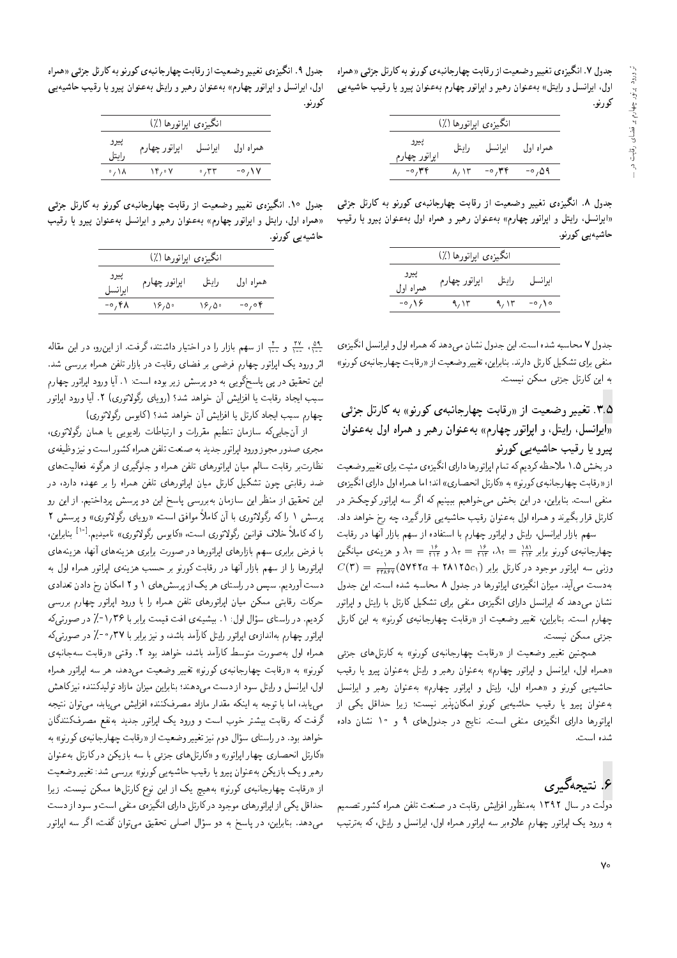حدول ۷. انگیزهی تغییر وضعیت از رقابت حهار حانیهی کورنو به کارتل حزئی «همراه اول، ایرانسل و رایتل» به عنوان رهبر و اپراتور چهارم به عنوان پیرو یا رقیب حاشیه یی کورنو.

|                        |                     | انگيزەي اپراتورها (٪) |           |
|------------------------|---------------------|-----------------------|-----------|
| ييرو<br>اپراتور چهارم  | رايتل               | ا برا نسل             | همراه اول |
| $-\circ$ , and $\circ$ | $\lambda/\Lambda r$ | $-0.74$               | ۵۹ه, ه-   |

جدول ۸. انگیزهی تغییر وضعیت از رقابت چهارجانبهی کورنو به کارتل جزئی «ایرانسل، رایتل و اپراتور چهارم» بهعنوان رهبر و همراه اول بهعنوان پیرو یا رقیب حاشیهیی کورنو.

|                   | انگيزەي ايراتورها (٪) |       |         |
|-------------------|-----------------------|-------|---------|
| پيرو<br>همراه اول | اپراتور چهارم         | رايتل | ايرانسل |
| $-0.19$           | ۹, ۱۳                 | ۹٬۱۳  | $-0/10$ |
|                   |                       |       |         |

جدول ۷ محاسبه شده است. این جدول نشان میدهد که همراه اول و ایرانسل انگیزهی منفی برای تشکیل کارتل دارند. بنابراین، تغییر وضعیت از «رقابت چهارجانبهی کورنو» به این کارتل جزئی ممکن نیست.

## ۳.۵. تغییر وضعیت از «رقابت چهارجانبهی کورنو» به کارتل جزئی ایرانسل، رایتل، و ایراتور چهارم» به عنوان رهبر و همراه اول به عنوان $y$ یپرو یا رقیب حاشیهیے کورنو

در بخش ۱.۵ ملاحظه کردیم که تمام اپراتورها دارای انگیزهی مثبت برای تغییروضعیت از «رقابت چهارجانبهى كورنو» به «كارتل انحصارى» اند؛ اما همراه اول داراى انگيزهى منفی است. بنابراین، در این بخش می خواهیم ببینیم که اگر سه اپراتور کوچکتر در کارتل قرار بگیرند و همراه اول بهعنوان رقیب حاشیهیی قرارگیرد، چه رخ خواهد داد.

سهم بازار ايرانسل، رايتل و ايراتور چهارم با استفاده از سهم بازار آنها در رقابت چهارجانبه،ی کورنو برابر ۲۰۱۲  $\lambda_{\rm r} = \frac{v_{\rm F}}{100}$  و هزینه،ی میانگین  $\lambda_{\rm r} = \frac{100}{100}$  $C(\mathbf{r}) = \frac{1}{\pi \pi \lambda \varepsilon \mathsf{v}} ( \Delta \mathsf{V} \mathsf{f} \mathsf{f} \mathsf{a} + \mathsf{Y} \mathsf{A} \mathsf{V} \mathsf{f} \Delta c_1 )$ وزنبی سه اپارتور موجود در کارتل برابر به دست می آید. میزان انگیزهی اپراتورها در جدول ۸ محاسبه شده است. این جدول نشان میدهد که ایرانسل دارای انگیزهی منفی برای تشکیل کارتل با رایتل و اپراتور جهارم است. بنابراین، تغییر وضعیت از «رقابت چهارجانبهی کورنو» به این کارتل جزئى ممكن نيست.

همچنین تغییر وضعیت از «رقابت چهارجانبهی کورنو» به کارتلهای جزئی «همراه اول، ايرانسل و ايراتور چهارم» به عنوان رهبر و رايتل به عنوان پيرو يا رقيب حاشیه یی کورنو و «همراه اول، رایتل و اپراتور چهارم» به عنوان رهبر و ایرانسل به عنوان پیرو یا رقیب حاشیه یی کورنو امکان پذیر نیست؛ زیرا حداقل یکی از ایراتورها دارای انگیزهی منفی است. نتایج در جدولهای ۹ و ۱۰ نشان داده شده است.

# ۶. نتيجەگيرى

دولت در سال ۱۳۹۲ بهمنظور افزایش رقابت در صنعت تلفن همراه کشور تصمیم به ورود یک ایراتور چهارم علاوه بر سه ایراتور همراه اول، ایرانسل و رایتل، که بهترتیب

جدول ۹ ـ انگیزهی تغییر وضعیت از رقابت چهارجانبهی کورنو به کارتل جزئی «همراه اول، ایرانسل و اپراتور چهارم» به عنوان رهبر و رایتل به عنوان پیرو یا رقیب حاشیه یی كورنو.

|               | انگيزەي ايراتورھا (٪) |         |           |
|---------------|-----------------------|---------|-----------|
| پيرو<br>رايتل | اپراتور چهارم         | ايرانسل | همراه اول |
| 。/ Y          | ۰۴٫۰۷                 | ۳۳، ه   | -0, \ V   |

جدول ۱۰ انگیزهی تغییر وضعیت از رقابت چهارجانبهی کورنو به کارتل جزئی «همراه اول، رایتل و ایراتور چهارم» به عنوان رهبر و ایرانسل به عنوان پیرو یا رقیب حاشیهیے کورنو.

| پيرو<br>اپراتور چهارم<br>رابتل<br>ا يرا نسل |       | انگيزەي ايراتورها (٪) |       |           |
|---------------------------------------------|-------|-----------------------|-------|-----------|
|                                             |       |                       |       | همراه اول |
|                                             | 7۴۸ - | ۱۶٬۵۰                 | ۱۶٬۵۰ | ۴ ه, ه-   |

<u>۵۹</u> ، ۲۷ و ۳۰ از سهم بازار را در اختیار داشتند، گرفت. از این رو، در این مقاله<br>مستقل استقلال این مستقل به دست استقلال استقلال استقلال استقلال استقلال استقلال اثر ورود یک اپراتور چهارم فرضی بر فضای رقابت در بازار تلفن همراه بررسی شد. این تحقیق در پی پاسخگویی به دو پرسش زیر بوده است: ۱. آیا ورود اپراتور چهارم سبب ایجاد رقابت یا افزایش أن خواهد شد؟ (رویای رگولاتوری) ۲. آیا ورود ایراتور چهارم سبب ايجاد كارتل يا افزايش آن خواهد شد؟ (كابوس رگولاتورى)

از أن جايه كه سازمان تنطيم مقررات و ارتباطات راديويي يا همان رگولاتوري، مجري صدور مجوز ورود ايراتور جديد به صنعت تلفن همراه كشور است و نيز وظيفه ي نظارتبر رقابت سالم ميان اپراتورهاى تلفن همراه و جلوگيرى از هرگونه فعاليت هاى ضد رقابتی چون تشکیل کارتل میان ایراتورهای تلفن همراه را بر عهده دارد، در این تحقیق از منظر این سازمان بهبررسی پاسخ این دو پرسش پرداختیم. از این رو برسش ۱ را که رگولاتوری با آن کاملاً موافق است، «روپای رگولاتوری» و پرسش ۲ را که کاملاً خلاف قوانین رگولاتوری است. «کابوس رگولاتوری» نامیدیه <sup>[۱۰]</sup> بنابراین،<br>این در سال حاول اول اول اول با فرض برابرى سهم بازارهاى ابراتورها در صورت برابرى هزينههاى أنها، هزينههاى ایراتورها را از سهم بازار آنها در رقابت کورنو بر حسب هزینهی ایراتور همراه اول به دست آوردیم. سپس در راستای هر یک از پرسش های ۱ و ۲ امکان رخ دادن تعدادی حرکات رقابتی ممکن میان اپراتورهای تلفن همراه را با ورود اپراتور چهارم بررسی کردیم. در راستای سؤال اول: ۱. بیشینهی افت قیمت برابر با ۲۶/۳۶-٪ در صورتی6ه<br>امات معدا مسائل بعدادات مایتا کارگید باشید، به دولت ۱۳۷۱ قطع در مستق |براتور چهارم به|ندازهى |براتور رايتل كارآمد باشد، و نيز برابر با ٣٧/ °−/ در صورتىٍكه همراه اول به صورت متوسط كارآمد باشد، خواهد بود ٢. وقتى «رقابت سهجانبه ى کورنو» به «رقابت جهارجانیه ی کورنو» تغییر وضعیت می دهد، هر سه ایرانور همراه اول، ایرانسل و رایتل سود از دست می دهند؛ بنابراین میزان مازاد تولیدکننده نیز کاهش مے بابد، اما با توجه به اینکه مقدار مازاد مصرفکننده افزایش مے باید، مے توان نتیجه گرفت که رقابت بیشتر خوب است و ورود یک اپراتور جدید بهنفع مصرفکنندگان خواهد بود. در راستای سؤال دوم نیز تغییر وضعیت از «رقابت چهارجانبهی کورنو» به<br>۱۲۰۰ - از در این مطلبات «مطلبات ایجامی» و مطلبات این اینک در کارتان در اینک «کارتل انحصاری چهار ایراتور» و «کارتل های جزئی با سه بازیکن در کارتل بهعنوان رهبر و یک بازیکن به عنوان پیرو یا رقیب حاشیه یی کورنو» بررسی شد: تغییر وضعیت از «رقابت چهارجانبهى كورنو» بههيچ يک از اين نوع كارتلها ممكن نيست. زيرا حداقل یکی از اپراتورهای موجود درکارتل دارای انگیزهی منفی است و سود از دست میدهد. بنابراین، در پاسخ به دو سؤال اصلی تحقیق می توان گفت، اگر سه اپراتور<br>.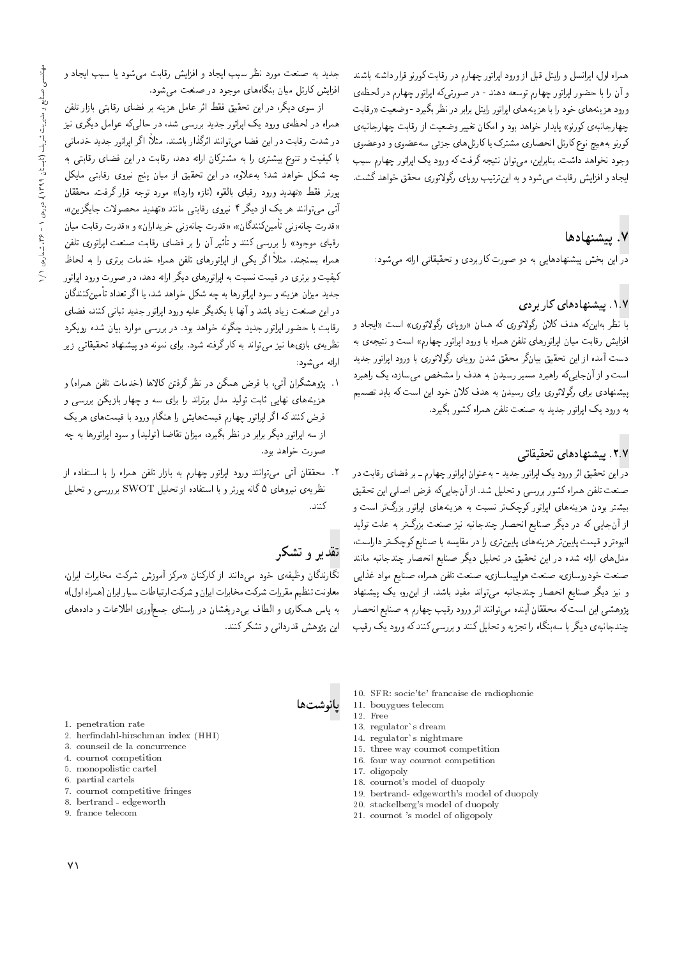همراه اول، ايرانسل و رايتل قبل از ورود اپراتور چهارم در رقابت كورنو قرار داشته باشند و أن را با حضور اپراتور چهارم توسعه دهند - در صورتی،که اپراتور چهارم در لحظهی ورود هزينههاي خود را با هزينههاي ايراتور رايتل برابر در نظر بگيرد - وضعيت «رقابت چهارجانبهى كورنو» پايدار خواهد بود و امكان تغيير وضعيت از رقابت چهارجانبهى كورنو به هيچ نوع كارتل انحصاري مشترك يا كارتل هاي جزئى سه عضوي و دوعضوي وجود نخواهد داشت. بنابراین، می توان نتیجه گرفت که ورود یک اپراتور چهارم سبب ایجاد و افزایش رقابت می شود و به این ترتیب رویای رگولاتوری محقق خواهد گشت.

## $\cdot$ بادها $\cdot$ v

در این بخش پیشنهادهایی به دو صورت کاربردی و تحقیقاتی ارائه می شود:

## ۰۱.۷ پیشنهادهای کاربردی

با نظر بهاینِکه هدف کلان رگولاتوری که همان «رویای رگولاتوری» است «ایجاد و افزایش رقابت میان اپراتورهای تلفن همراه با ورود اپراتور چهارم» است و نتیجه ی به دست آمده از این تحقیق بیانگر محقق شدن رویای رگولاتوری با ورود ایراتور جدید است و از آنجایی که راهبرد مسیر رسیدن به هدف را مشخص می سازد، یک راهبرد پیشنهادی برای رگولاتوری برای رسیدن به هدف کلان خود این است که باید تصمیم به ورود يک ايراتور جديد به صنعت تلفن همراه کشور بگيرد.

## |D=k}kLD |=yO=yvW}B "2"7

<mark>در</mark> این تحقیق اثر ورود یک ایراتور جدید - به عنوان ایراتور چهارم ــ بر فضای رقابت **د**ر صنعت تلفن همراه كشور بررسي و تحليل شد. از آنجاييكه فرض اصلبي اين تحقيق بیشتر بودن هزینههای ایراتور کوچکتر نسبت به هزینههای ایراتور بزرگتر است و از آنجایی که در دیگر صنایع انحصار چندجانبه نیز صنعت بزرگتر به علت تولید انبوهتر و قیمت پایینتر هزینههای پایین تری را در مقایسه با صنایع کوچکتر داراست، مدل های ارائه شده در این تحقیق در تحلیل دیگر صنایع انحصار چندجانبه مانند صنعت خودروسازى، صنعت هواپيماسازى، صنعت تلفن همراه، صنايع مواد غذايى و نیز دیگر صنایع انحصار چندجانبه می تواند مفید باشد. از این رو، یک پیشنهاد پژوهشی این است که محققان آینده می توانند اثر ورود رقیب چهارم به صنایع انحصار چندجانبهى ديگر با سەبنگاه را تجزيه و تحليل كنند و بررسىي كنند كه ورود يك رقيب

جدید به صنعت مورد نظر سبب ایجاد و افزایش رقابت می شود یا سبب ایجاد و افزایش کارتل میان بنگاههای موجود در صنعت می شود.

از سوی دیگر، در این تحقیق فقط اثر عامل هزینه بر فضای رقابتی بازار تلفن همراه در لحظهءی ورود یک اپراتور جدید بررسی شد، در حال<sub>ی</sub>که عوامل دیگری نیز در شدت رقابت در این فضا میتوانند اثرگذار باشند. مثلاً، اگر اپراتور جدید خدماتی با کیفیت و تنوع بیشتری را به مشترکان ارائه دهد، رقابت در این فضای رقابتی به چه شکل خواهد شد؟ به علاوه، در این تحقیق از میان پنج نیروی رقابتی مایکل پورتر فقط «تهدید ورود رقبای بالقوه (تازه وارد)» مورد توجه قرار گرفت. محققان أتي مي توانند هر يک از ديگر ۴ نيروي رقابتي مانند «تهديد محصولات جايگزين»، «قدرت چانه زنبي تأمين كنندگان»، «قدرت چانه زنبي خريداران» و «قدرت رقابت ميان رقبای موجود» را بررسی کنند و تاثیر ان را بر فضای رقابت صنعت اپراتوری تلفن<br>این موجود» را تواگر کرد از این برای بین این در این موجود این این این همراه بسنجند. مثلاً اگر یکمی از ایراتورهای تلفن همراه خدمات برتری را به لحاظ کیفیت و برتری در قیمت نسبت به ایراتورهای دیگر ارائه دهد، در صورت ورود ایراتور جديد ميزان هزينه و سود ايراتورها به چه شكل خواهد شد، يا اگر تعداد تأمينكنندگان در این صنعت زیاد باشد و آنها با یکدیگر علیه ورود اپراتور جدید تبانی کنند، فضای رقابت با حضور ایراتور جدید چگونه خواهد بود. در بررسی موارد بیان شده رویکرد نظریه ی بازی ها نیز می تواند به کار گرفته شود. برای نمونه دو پیشنهاد تحقیقاتی زیر ارائه مى شود:

- ۰۱ يژوهشگران آتي، با فرض همگن در نظر گرفتن کالاها (خدمات تلفن همراه) و هزینههای نهایی ثابت تولید مدل برتراند را برای سه و چهار بازیکن بررسی و <sub>.</sub><br>فرض کنند که اگر ایراتور جهارم قیمتهایش را هنگام ورود با قیمتهای هر یک از سه اپراتور دیگر برابر در نظر بگیرد، میزان تقاضا (تولید) و سود اپراتورها به چه صورت خواهد بود.
- ۲. محققان آتى مى توانند ورود اپراتور چهارم به بازار تلفن همراه را با استفاده از نظریهی نیروهای ۵ گانه پورتر و با استفاده از تحلیل SWOT برررسی و تحلیل كنند.

# تقدیر و تشکر

ادانوشت ها

نگارندگان وظیفهى خود مىدانند از كاركنان «مركز آموزش شركت مخابرات ايران، معاونت تنظيم مقررات شركت مخابرات ايران و شركت ارتباطات سيار ايران (همراه اول)» به پاس همکاری و الطاف برپدریغشان در راستای جمعآوری اطلاعات و دادههای این پژوهش قدردانی و تشکر کنند.

- 10. SFR: socie'te' francaise de radiophonie
- 11. bouygues telecom
- 12. Free
- 13. regulator's dream
- 14. regulator's nightmare
- 15. three way cournot competition
- 16. four way cournot competition
- 17. oligopoly
- 18. cournot's model of duopoly
- 19. bertrand- edgeworth's model of duopoly
- 20. stackelberg's model of duopoly
- 21. cournot 's model of oligopoly
- 1. penetration rate
- 2. herndahl-hirschman index (HHI)
- 3. counseil de la concurrence
- 4. cournot competition
- 5. monopolistic cartel
- 6. partial cartels
- 7. cournot competitive fringes
- 8. bertrand edgeworth
- 9. france telecom